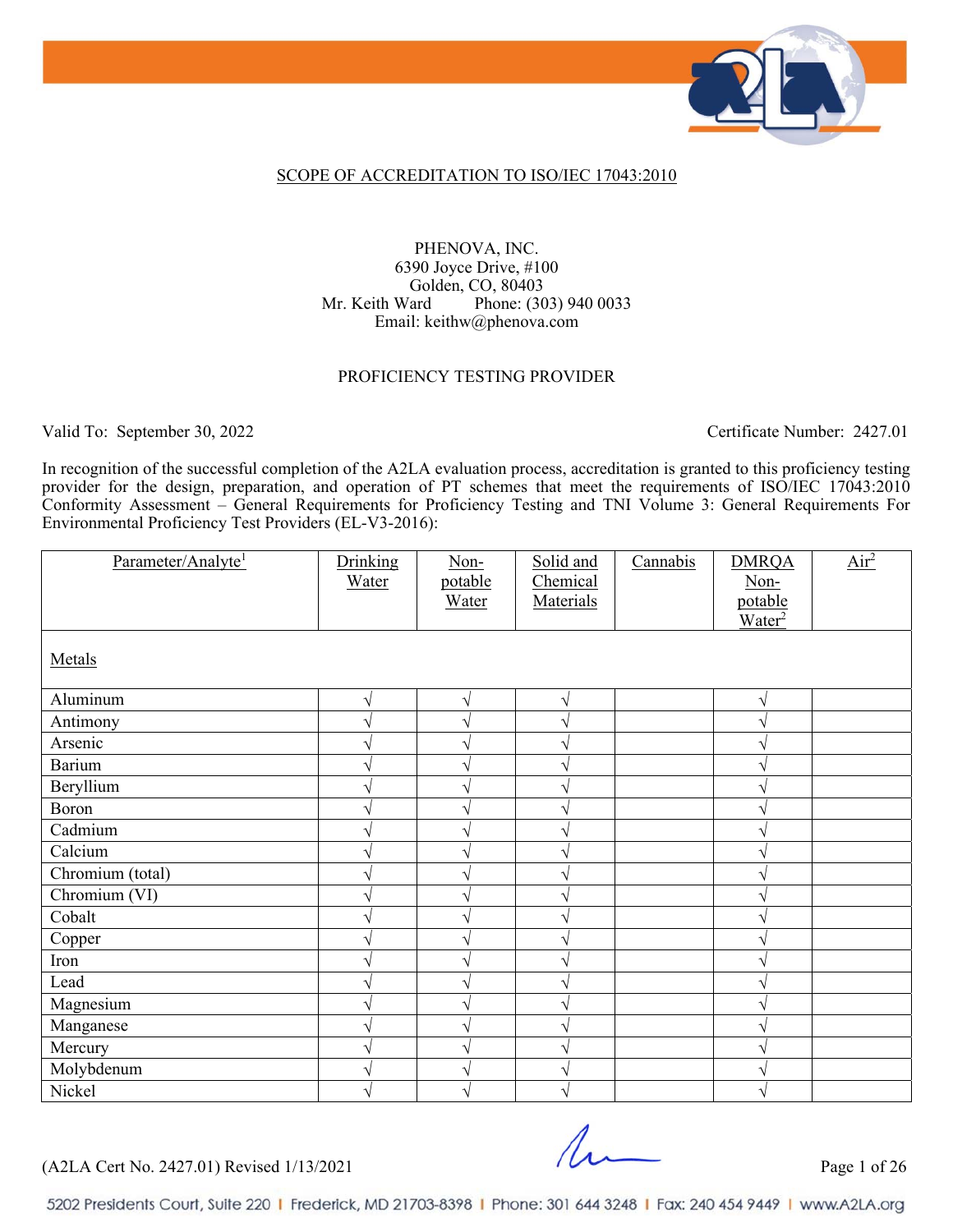

## SCOPE OF ACCREDITATION TO ISO/IEC 17043:2010

## PHENOVA, INC. 6390 Joyce Drive, #100 Golden, CO, 80403 Mr. Keith Ward Phone: (303) 940 0033 Email: keithw@phenova.com

#### PROFICIENCY TESTING PROVIDER

Valid To: September 30, 2022 Certificate Number: 2427.01

In recognition of the successful completion of the A2LA evaluation process, accreditation is granted to this proficiency testing provider for the design, preparation, and operation of PT schemes that meet the requirements of ISO/IEC 17043:2010 Conformity Assessment – General Requirements for Proficiency Testing and TNI Volume 3: General Requirements For Environmental Proficiency Test Providers (EL-V3-2016):

| Parameter/Analyte <sup>1</sup> | Drinking<br>Water | $Non-$<br>potable<br>Water | Solid and<br>Chemical<br>Materials | Cannabis | <b>DMRQA</b><br>Non-<br>potable<br>Water <sup>2</sup> | Air <sup>2</sup> |
|--------------------------------|-------------------|----------------------------|------------------------------------|----------|-------------------------------------------------------|------------------|
| Metals                         |                   |                            |                                    |          |                                                       |                  |
| Aluminum                       | V                 | $\sqrt{}$                  | N                                  |          | V                                                     |                  |
| Antimony                       |                   | V                          |                                    |          |                                                       |                  |
| Arsenic                        |                   | V                          |                                    |          |                                                       |                  |
| <b>Barium</b>                  |                   | V                          |                                    |          |                                                       |                  |
| Beryllium                      |                   | V                          |                                    |          |                                                       |                  |
| Boron                          |                   |                            |                                    |          |                                                       |                  |
| Cadmium                        |                   | ٦                          |                                    |          |                                                       |                  |
| Calcium                        |                   |                            |                                    |          |                                                       |                  |
| Chromium (total)               |                   | N                          |                                    |          |                                                       |                  |
| Chromium (VI)                  |                   | اد                         |                                    |          |                                                       |                  |
| Cobalt                         |                   | V                          |                                    |          |                                                       |                  |
| Copper                         |                   | V                          |                                    |          |                                                       |                  |
| Iron                           |                   | V                          |                                    |          |                                                       |                  |
| Lead                           |                   | V                          |                                    |          |                                                       |                  |
| Magnesium                      |                   | V                          |                                    |          |                                                       |                  |
| Manganese                      |                   | V                          |                                    |          |                                                       |                  |
| Mercury                        |                   | V                          |                                    |          |                                                       |                  |
| Molybdenum                     |                   | V                          |                                    |          |                                                       |                  |
| Nickel                         |                   | V                          |                                    |          |                                                       |                  |

(A2LA Cert No. 2427.01) Revised 1/13/2021 Page 1 of 26

 $\Lambda$ .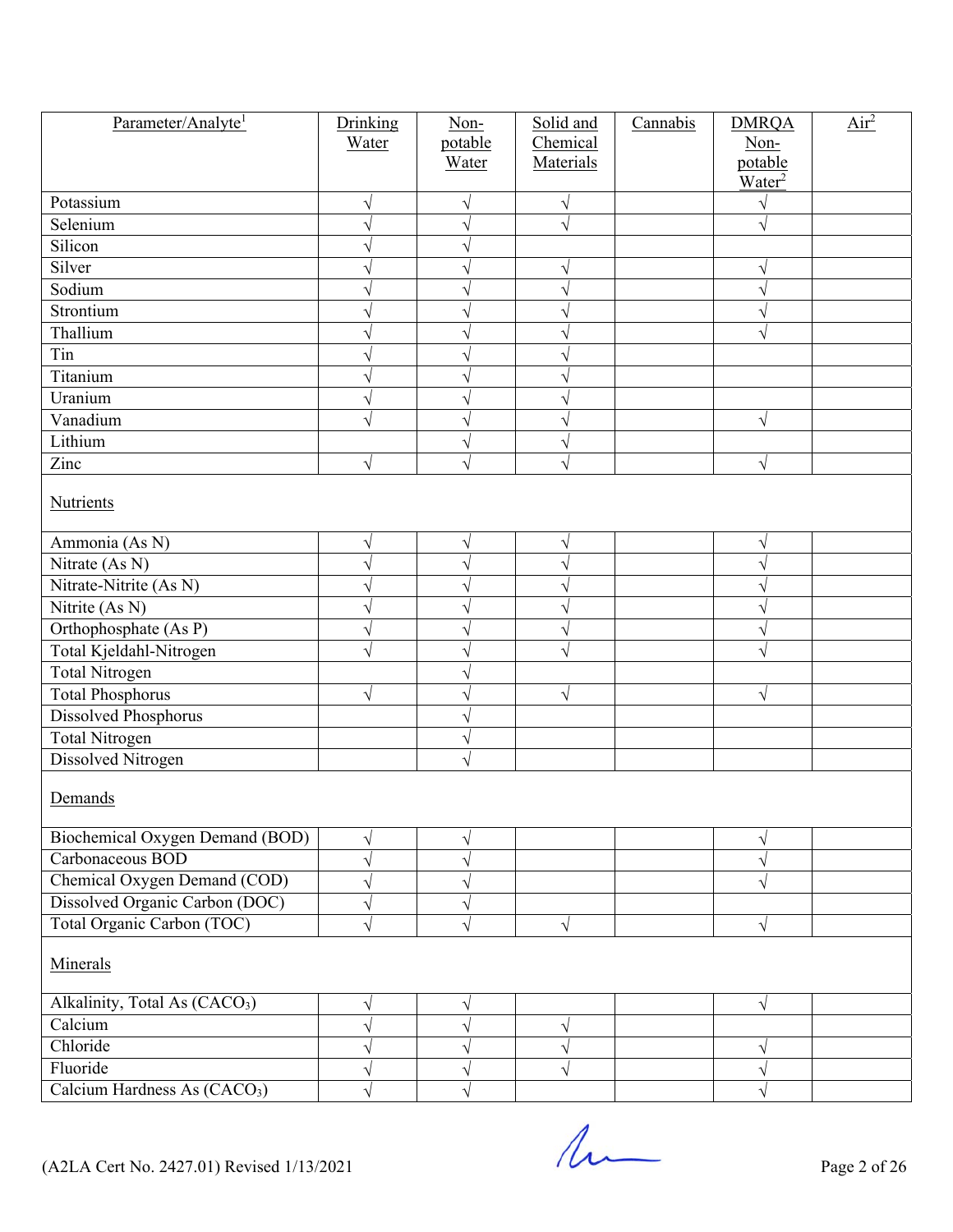| Parameter/Analyte <sup>1</sup>            | Drinking<br>Water | Non-<br>potable | Solid and<br>Chemical | Cannabis | <b>DMRQA</b><br>Non- | $Air^2$ |  |  |  |
|-------------------------------------------|-------------------|-----------------|-----------------------|----------|----------------------|---------|--|--|--|
|                                           |                   | Water           | Materials             |          | potable              |         |  |  |  |
|                                           |                   |                 |                       |          | Water <sup>2</sup>   |         |  |  |  |
| Potassium                                 | V                 | $\sqrt{}$       | V                     |          |                      |         |  |  |  |
| Selenium                                  |                   | $\sqrt{}$       | $\sqrt{}$             |          |                      |         |  |  |  |
| Silicon                                   |                   | V               |                       |          |                      |         |  |  |  |
| Silver                                    |                   | V               | V                     |          |                      |         |  |  |  |
| Sodium                                    |                   | $\sqrt{}$       |                       |          |                      |         |  |  |  |
| Strontium                                 |                   |                 |                       |          |                      |         |  |  |  |
| Thallium                                  |                   | V               |                       |          |                      |         |  |  |  |
| Tin                                       |                   | V               |                       |          |                      |         |  |  |  |
| Titanium                                  |                   | V               |                       |          |                      |         |  |  |  |
| Uranium                                   | J                 | $\sqrt{ }$      |                       |          |                      |         |  |  |  |
| Vanadium                                  | $\sqrt{}$         | $\sqrt{}$       | ٦                     |          | V                    |         |  |  |  |
| Lithium                                   |                   | V               |                       |          |                      |         |  |  |  |
| Zinc                                      | $\sqrt{}$         | $\sqrt{2}$      | V                     |          | $\sqrt{}$            |         |  |  |  |
| <b>Nutrients</b>                          |                   |                 |                       |          |                      |         |  |  |  |
| Ammonia (As N)                            |                   |                 |                       |          |                      |         |  |  |  |
| Nitrate (As N)                            | V                 | $\sqrt{}$       | V                     |          | V                    |         |  |  |  |
| Nitrate-Nitrite (As N)                    |                   | $\sqrt{}$       |                       |          |                      |         |  |  |  |
| Nitrite (As N)                            |                   | V               |                       |          |                      |         |  |  |  |
| Orthophosphate (As P)                     |                   | V               |                       |          |                      |         |  |  |  |
| Total Kjeldahl-Nitrogen                   |                   | V               |                       |          |                      |         |  |  |  |
| <b>Total Nitrogen</b>                     |                   | V               |                       |          |                      |         |  |  |  |
| <b>Total Phosphorus</b>                   |                   | V               | $\sqrt{}$             |          | V                    |         |  |  |  |
| Dissolved Phosphorus                      | V                 | V               |                       |          |                      |         |  |  |  |
| Total Nitrogen                            |                   | V               |                       |          |                      |         |  |  |  |
| Dissolved Nitrogen                        |                   | V               |                       |          |                      |         |  |  |  |
|                                           |                   | $\sqrt{}$       |                       |          |                      |         |  |  |  |
| Demands                                   |                   |                 |                       |          |                      |         |  |  |  |
| Biochemical Oxygen Demand (BOD)           | V                 | V               |                       |          |                      |         |  |  |  |
| Carbonaceous BOD                          | V                 | $\sqrt{}$       |                       |          |                      |         |  |  |  |
| Chemical Oxygen Demand (COD)              |                   | V               |                       |          |                      |         |  |  |  |
| Dissolved Organic Carbon (DOC)            | V                 | V               |                       |          |                      |         |  |  |  |
| Total Organic Carbon (TOC)                | V                 | $\sqrt{}$       | $\sqrt{ }$            |          | V                    |         |  |  |  |
| Minerals                                  |                   |                 |                       |          |                      |         |  |  |  |
| Alkalinity, Total As (CACO <sub>3</sub> ) | V                 | $\sqrt{}$       |                       |          | $\sqrt{}$            |         |  |  |  |
| Calcium                                   |                   | $\sqrt{}$       | V                     |          |                      |         |  |  |  |
| Chloride                                  |                   | V               |                       |          |                      |         |  |  |  |
| Fluoride                                  |                   | V               |                       |          |                      |         |  |  |  |
| Calcium Hardness As (CACO <sub>3</sub> )  |                   | $\sqrt{ }$      |                       |          |                      |         |  |  |  |

 $($ A2LA Cert No. 2427.01) Revised 1/13/2021 Page 2 of 26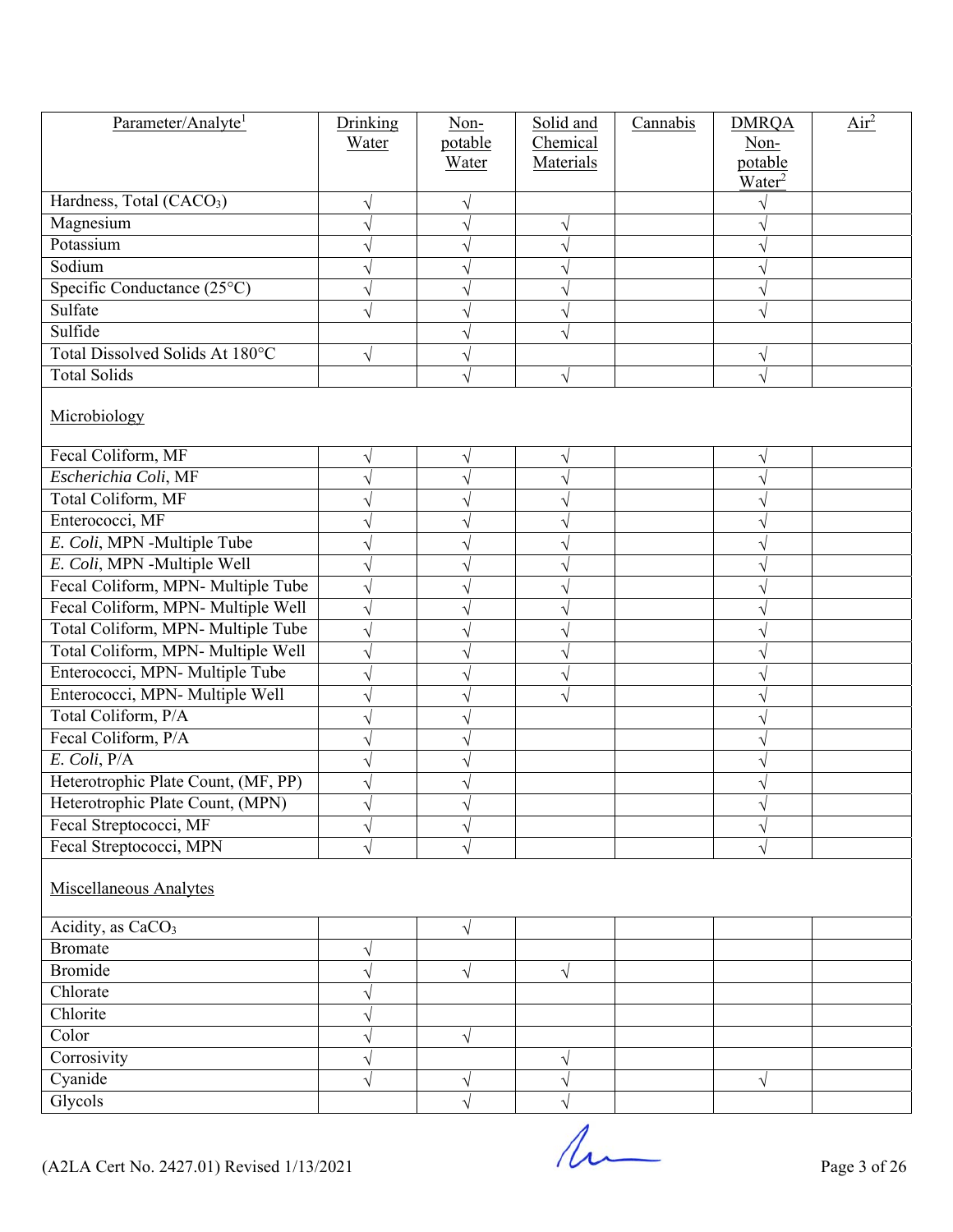| Parameter/Analyte <sup>1</sup>       | Drinking  | $Non-$     | Solid and | Cannabis | <b>DMRQA</b>       | $\overline{\text{Air}^2}$ |  |  |  |
|--------------------------------------|-----------|------------|-----------|----------|--------------------|---------------------------|--|--|--|
|                                      | Water     | potable    | Chemical  |          | Non-               |                           |  |  |  |
|                                      |           | Water      | Materials |          | potable            |                           |  |  |  |
| Hardness, Total (CACO <sub>3</sub> ) |           |            |           |          | Water <sup>2</sup> |                           |  |  |  |
| Magnesium                            |           |            |           |          |                    |                           |  |  |  |
| Potassium                            |           | V          |           |          |                    |                           |  |  |  |
| Sodium                               |           |            |           |          |                    |                           |  |  |  |
| Specific Conductance (25°C)          |           |            |           |          |                    |                           |  |  |  |
| Sulfate                              |           | V          |           |          |                    |                           |  |  |  |
| Sulfide                              |           |            |           |          |                    |                           |  |  |  |
| Total Dissolved Solids At 180°C      |           | V          |           |          |                    |                           |  |  |  |
| <b>Total Solids</b>                  | V         | V          |           |          |                    |                           |  |  |  |
|                                      |           |            | V         |          |                    |                           |  |  |  |
| Microbiology                         |           |            |           |          |                    |                           |  |  |  |
| Fecal Coliform, MF                   |           | V          |           |          |                    |                           |  |  |  |
| Escherichia Coli, MF                 |           |            |           |          |                    |                           |  |  |  |
| Total Coliform, MF                   |           |            |           |          |                    |                           |  |  |  |
| Enterococci, MF                      |           | ٦          |           |          |                    |                           |  |  |  |
| E. Coli, MPN -Multiple Tube          |           |            |           |          |                    |                           |  |  |  |
| E. Coli, MPN -Multiple Well          |           | V          |           |          |                    |                           |  |  |  |
| Fecal Coliform, MPN- Multiple Tube   |           | V          |           |          |                    |                           |  |  |  |
| Fecal Coliform, MPN- Multiple Well   |           |            |           |          |                    |                           |  |  |  |
| Total Coliform, MPN- Multiple Tube   |           | V          |           |          |                    |                           |  |  |  |
| Total Coliform, MPN- Multiple Well   |           | V          |           |          |                    |                           |  |  |  |
| Enterococci, MPN- Multiple Tube      |           |            |           |          |                    |                           |  |  |  |
| Enterococci, MPN- Multiple Well      |           | V          |           |          |                    |                           |  |  |  |
| Total Coliform, P/A                  |           | ٦          |           |          |                    |                           |  |  |  |
| Fecal Coliform, P/A                  |           |            |           |          |                    |                           |  |  |  |
| $E.$ Coli, $P/A$                     |           | ٦          |           |          |                    |                           |  |  |  |
| Heterotrophic Plate Count, (MF, PP)  |           |            |           |          |                    |                           |  |  |  |
| Heterotrophic Plate Count, (MPN)     |           |            |           |          |                    |                           |  |  |  |
| Fecal Streptococci, MF               | V         | V          |           |          |                    |                           |  |  |  |
| Fecal Streptococci, MPN              | $\sqrt{}$ | $\sqrt{}$  |           |          |                    |                           |  |  |  |
| <b>Miscellaneous Analytes</b>        |           |            |           |          |                    |                           |  |  |  |
| Acidity, as CaCO <sub>3</sub>        |           | $\sqrt{}$  |           |          |                    |                           |  |  |  |
| <b>Bromate</b>                       | V         |            |           |          |                    |                           |  |  |  |
| <b>Bromide</b>                       |           | $\sqrt{ }$ | V         |          |                    |                           |  |  |  |
| Chlorate                             |           |            |           |          |                    |                           |  |  |  |
| Chlorite                             |           |            |           |          |                    |                           |  |  |  |
| Color                                |           | $\sqrt{}$  |           |          |                    |                           |  |  |  |
| Corrosivity                          | V         |            | $\sqrt{}$ |          |                    |                           |  |  |  |
| Cyanide                              | $\sqrt{}$ | V          |           |          | $\sqrt{}$          |                           |  |  |  |
| Glycols                              |           | $\sqrt{}$  |           |          |                    |                           |  |  |  |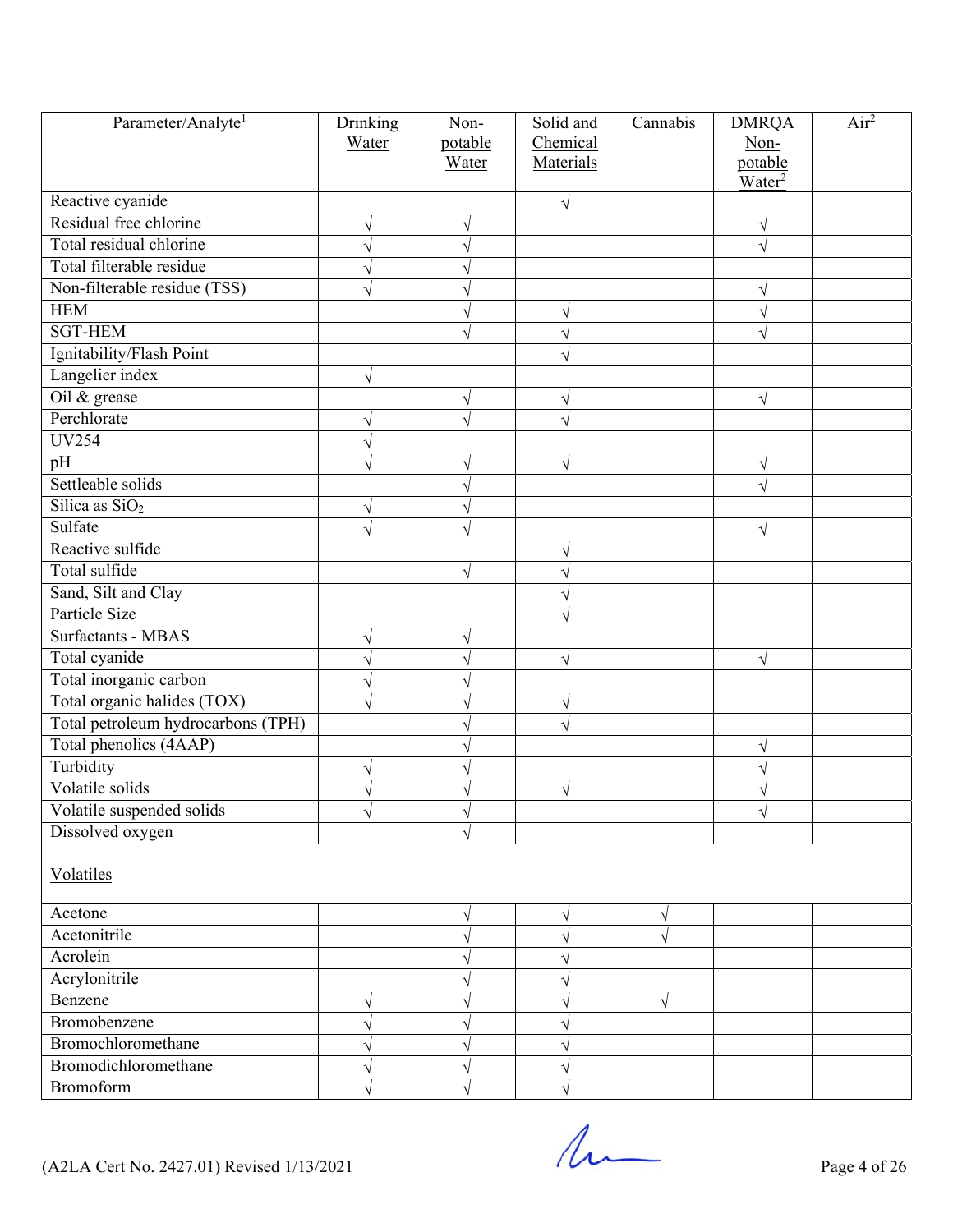| Parameter/Analyte <sup>1</sup>             | Drinking | Non-                  | Solid and | Cannabis   | <b>DMRQA</b>       | Air <sup>2</sup> |
|--------------------------------------------|----------|-----------------------|-----------|------------|--------------------|------------------|
|                                            | Water    | potable               | Chemical  |            | Non-               |                  |
|                                            |          | Water                 | Materials |            | potable            |                  |
|                                            |          |                       |           |            | Water <sup>2</sup> |                  |
| Reactive cyanide<br>Residual free chlorine |          |                       |           |            |                    |                  |
|                                            | V        | V                     |           |            |                    |                  |
| Total residual chlorine                    |          | ٦                     |           |            |                    |                  |
| Total filterable residue                   |          | V                     |           |            |                    |                  |
| Non-filterable residue (TSS)               |          | V                     |           |            |                    |                  |
| <b>HEM</b>                                 |          | $\boldsymbol{\gamma}$ |           |            |                    |                  |
| <b>SGT-HEM</b>                             |          | V                     |           |            |                    |                  |
| Ignitability/Flash Point                   |          |                       |           |            |                    |                  |
| Langelier index                            | V        |                       |           |            |                    |                  |
| Oil & grease                               |          | $\sqrt{}$             | V         |            |                    |                  |
| Perchlorate                                |          | $\sqrt{2}$            |           |            |                    |                  |
| <b>UV254</b>                               |          |                       |           |            |                    |                  |
| pH                                         |          | V                     | V         |            |                    |                  |
| Settleable solids                          |          | V                     |           |            |                    |                  |
| Silica as $SiO2$                           | V        | V                     |           |            |                    |                  |
| Sulfate                                    |          | V                     |           |            | V                  |                  |
| Reactive sulfide                           |          |                       |           |            |                    |                  |
| Total sulfide                              |          | V                     |           |            |                    |                  |
| Sand, Silt and Clay                        |          |                       |           |            |                    |                  |
| Particle Size                              |          |                       |           |            |                    |                  |
| <b>Surfactants - MBAS</b>                  |          | V                     |           |            |                    |                  |
| Total cyanide                              |          | V                     | V         |            | V                  |                  |
| Total inorganic carbon                     |          | V                     |           |            |                    |                  |
| Total organic halides (TOX)                |          | V                     | V         |            |                    |                  |
| Total petroleum hydrocarbons (TPH)         |          | V                     |           |            |                    |                  |
| Total phenolics (4AAP)                     |          | ٦                     |           |            |                    |                  |
| Turbidity                                  | V        | ٦                     |           |            |                    |                  |
| Volatile solids                            |          |                       | V         |            |                    |                  |
| Volatile suspended solids                  | V        | ٧                     |           |            | ٧                  |                  |
| Dissolved oxygen                           |          | $\sqrt{2}$            |           |            |                    |                  |
|                                            |          |                       |           |            |                    |                  |
| Volatiles                                  |          |                       |           |            |                    |                  |
| Acetone                                    |          | $\sqrt{}$             | V         | $\sqrt{}$  |                    |                  |
| Acetonitrile                               |          | $\sqrt{}$             | V         |            |                    |                  |
| Acrolein                                   |          | V                     |           |            |                    |                  |
| Acrylonitrile                              |          | V                     |           |            |                    |                  |
| Benzene                                    | V        | V                     |           | $\sqrt{ }$ |                    |                  |
| Bromobenzene                               |          | V                     |           |            |                    |                  |
| Bromochloromethane                         |          | V                     |           |            |                    |                  |
| Bromodichloromethane                       |          | V                     |           |            |                    |                  |
| Bromoform                                  |          | V                     |           |            |                    |                  |

 $($ A2LA Cert No. 2427.01) Revised 1/13/2021 Page 4 of 26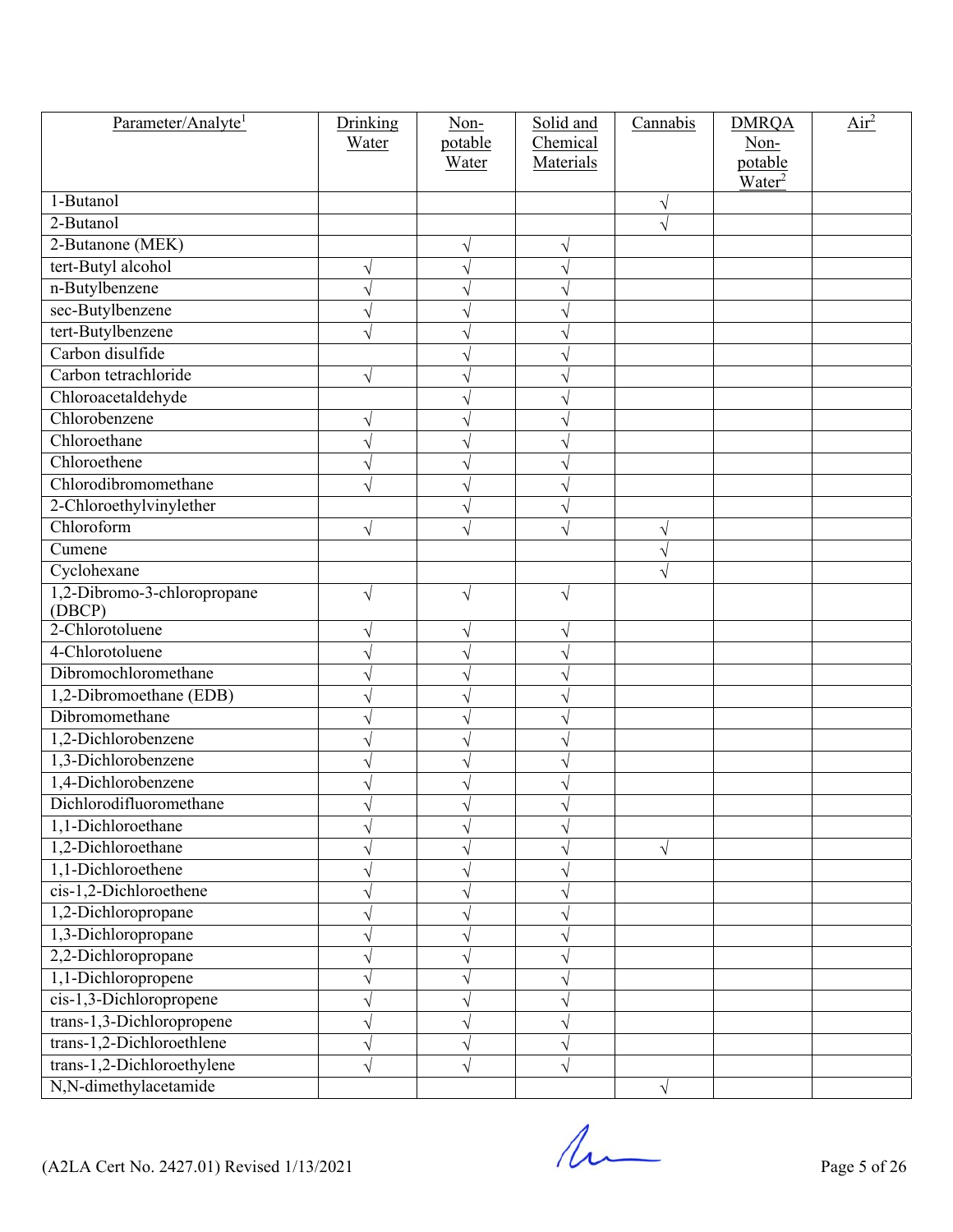| Parameter/Analyte <sup>1</sup> | Drinking   | Non-      | Solid and | Cannabis  | <b>DMRQA</b>       | Air <sup>2</sup> |
|--------------------------------|------------|-----------|-----------|-----------|--------------------|------------------|
|                                | Water      | potable   | Chemical  |           | Non-               |                  |
|                                |            | Water     | Materials |           | potable            |                  |
| 1-Butanol                      |            |           |           | $\sqrt{}$ | Water <sup>2</sup> |                  |
| 2-Butanol                      |            |           |           |           |                    |                  |
| 2-Butanone (MEK)               |            |           |           |           |                    |                  |
| tert-Butyl alcohol             |            | V         |           |           |                    |                  |
| n-Butylbenzene                 |            |           |           |           |                    |                  |
| sec-Butylbenzene               |            |           |           |           |                    |                  |
| tert-Butylbenzene              |            |           |           |           |                    |                  |
| Carbon disulfide               |            |           |           |           |                    |                  |
| Carbon tetrachloride           | $\sqrt{ }$ |           |           |           |                    |                  |
| Chloroacetaldehyde             |            |           |           |           |                    |                  |
| Chlorobenzene                  |            |           |           |           |                    |                  |
| Chloroethane                   |            |           |           |           |                    |                  |
| Chloroethene                   |            | V         |           |           |                    |                  |
| Chlorodibromomethane           |            | V         |           |           |                    |                  |
| 2-Chloroethylvinylether        |            |           |           |           |                    |                  |
| Chloroform                     | V          | V         |           | V         |                    |                  |
| Cumene                         |            |           |           |           |                    |                  |
| Cyclohexane                    |            |           |           |           |                    |                  |
| 1,2-Dibromo-3-chloropropane    | $\sqrt{}$  | $\sqrt{}$ |           |           |                    |                  |
| (DBCP)                         |            |           |           |           |                    |                  |
| 2-Chlorotoluene                |            | V         |           |           |                    |                  |
| 4-Chlorotoluene                |            | V         |           |           |                    |                  |
| Dibromochloromethane           |            |           |           |           |                    |                  |
| 1,2-Dibromoethane (EDB)        |            |           |           |           |                    |                  |
| Dibromomethane                 |            |           |           |           |                    |                  |
| 1,2-Dichlorobenzene            |            |           |           |           |                    |                  |
| 1,3-Dichlorobenzene            |            | V         |           |           |                    |                  |
| 1,4-Dichlorobenzene            |            |           |           |           |                    |                  |
| Dichlorodifluoromethane        |            |           |           |           |                    |                  |
| 1,1-Dichloroethane             |            |           |           |           |                    |                  |
| 1,2-Dichloroethane             |            |           |           |           |                    |                  |
| 1,1-Dichloroethene             |            |           |           |           |                    |                  |
| cis-1,2-Dichloroethene         |            |           |           |           |                    |                  |
| 1,2-Dichloropropane            |            |           |           |           |                    |                  |
| 1,3-Dichloropropane            |            |           |           |           |                    |                  |
| 2,2-Dichloropropane            |            |           |           |           |                    |                  |
| 1,1-Dichloropropene            |            |           |           |           |                    |                  |
| cis-1,3-Dichloropropene        |            |           |           |           |                    |                  |
| trans-1,3-Dichloropropene      |            |           |           |           |                    |                  |
| trans-1,2-Dichloroethlene      |            |           |           |           |                    |                  |
| trans-1,2-Dichloroethylene     |            |           |           |           |                    |                  |
| N,N-dimethylacetamide          |            |           |           | $\sqrt{}$ |                    |                  |

 $($ A2LA Cert No. 2427.01) Revised 1/13/2021 Page 5 of 26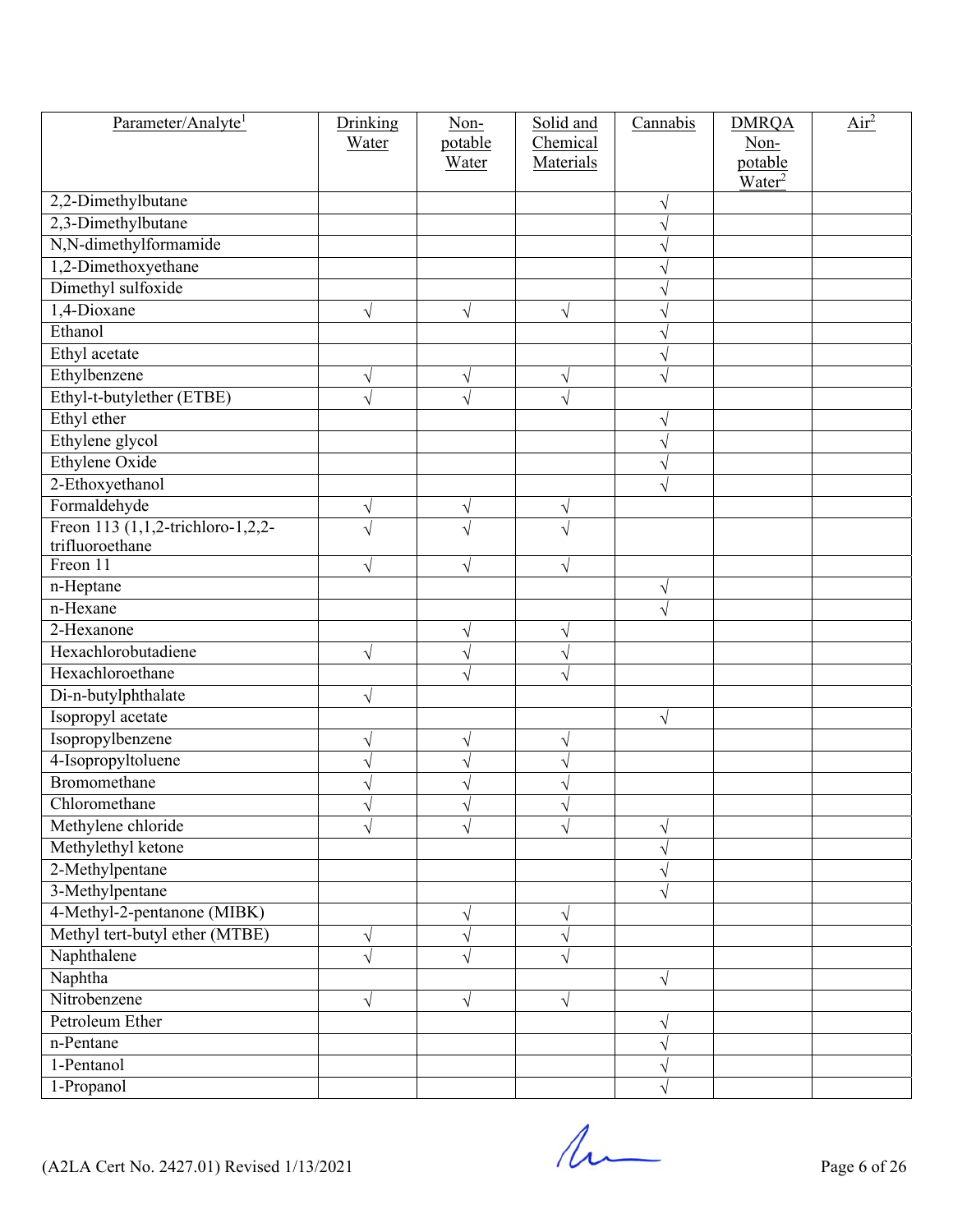| Parameter/Analyte <sup>1</sup>                       | Drinking<br>Water | Non-<br>potable | Solid and<br>Chemical | Cannabis  | <b>DMRQA</b><br>Non-          | $\overline{\text{Air}^2}$ |
|------------------------------------------------------|-------------------|-----------------|-----------------------|-----------|-------------------------------|---------------------------|
|                                                      |                   | Water           | Materials             |           | potable<br>Water <sup>2</sup> |                           |
| 2,2-Dimethylbutane                                   |                   |                 |                       | V         |                               |                           |
| 2,3-Dimethylbutane                                   |                   |                 |                       |           |                               |                           |
| N,N-dimethylformamide                                |                   |                 |                       |           |                               |                           |
| 1,2-Dimethoxyethane                                  |                   |                 |                       |           |                               |                           |
| Dimethyl sulfoxide                                   |                   |                 |                       |           |                               |                           |
| 1,4-Dioxane                                          | V                 | $\sqrt{}$       | $\sqrt{}$             |           |                               |                           |
| Ethanol                                              |                   |                 |                       |           |                               |                           |
| Ethyl acetate                                        |                   |                 |                       | V         |                               |                           |
| Ethylbenzene                                         | V                 | $\sqrt{}$       | V                     | V         |                               |                           |
| Ethyl-t-butylether (ETBE)                            |                   | $\sqrt{}$       |                       |           |                               |                           |
| Ethyl ether                                          |                   |                 |                       | V         |                               |                           |
| Ethylene glycol                                      |                   |                 |                       | N         |                               |                           |
| Ethylene Oxide                                       |                   |                 |                       | V         |                               |                           |
| 2-Ethoxyethanol                                      |                   |                 |                       | V         |                               |                           |
| Formaldehyde                                         | V                 | $\sqrt{}$       | V                     |           |                               |                           |
| Freon 113 (1,1,2-trichloro-1,2,2-<br>trifluoroethane | $\sqrt{}$         | $\sqrt{}$       |                       |           |                               |                           |
| Freon 11                                             | $\sqrt{}$         | $\sqrt{}$       | V                     |           |                               |                           |
| n-Heptane                                            |                   |                 |                       | V         |                               |                           |
| n-Hexane                                             |                   |                 |                       |           |                               |                           |
| 2-Hexanone                                           |                   | $\sqrt{}$       | V                     |           |                               |                           |
| Hexachlorobutadiene                                  | $\sqrt{}$         | $\sqrt{}$       |                       |           |                               |                           |
| Hexachloroethane                                     |                   | V               |                       |           |                               |                           |
| Di-n-butylphthalate                                  | V                 |                 |                       |           |                               |                           |
| Isopropyl acetate                                    |                   |                 |                       | V         |                               |                           |
| Isopropylbenzene                                     | V                 | V               | V                     |           |                               |                           |
| 4-Isopropyltoluene                                   |                   | $\sqrt{}$       |                       |           |                               |                           |
| Bromomethane                                         |                   | V               |                       |           |                               |                           |
| Chloromethane                                        |                   |                 |                       |           |                               |                           |
| Methylene chloride                                   |                   | $\sqrt{}$       |                       | V         |                               |                           |
| Methylethyl ketone                                   |                   |                 |                       |           |                               |                           |
| 2-Methylpentane                                      |                   |                 |                       | V         |                               |                           |
| 3-Methylpentane                                      |                   |                 |                       | $\sqrt{}$ |                               |                           |
| 4-Methyl-2-pentanone (MIBK)                          |                   | V               |                       |           |                               |                           |
| Methyl tert-butyl ether (MTBE)                       | V                 | $\sqrt{}$       | V                     |           |                               |                           |
| Naphthalene                                          |                   | $\sqrt{}$       |                       |           |                               |                           |
| Naphtha                                              |                   |                 |                       | V         |                               |                           |
| Nitrobenzene                                         | V                 | $\sqrt{}$       | V                     |           |                               |                           |
| Petroleum Ether                                      |                   |                 |                       | V         |                               |                           |
| n-Pentane                                            |                   |                 |                       | V         |                               |                           |
| 1-Pentanol                                           |                   |                 |                       | ٦         |                               |                           |
| 1-Propanol                                           |                   |                 |                       |           |                               |                           |

 $($ A2LA Cert No. 2427.01) Revised 1/13/2021 Page 6 of 26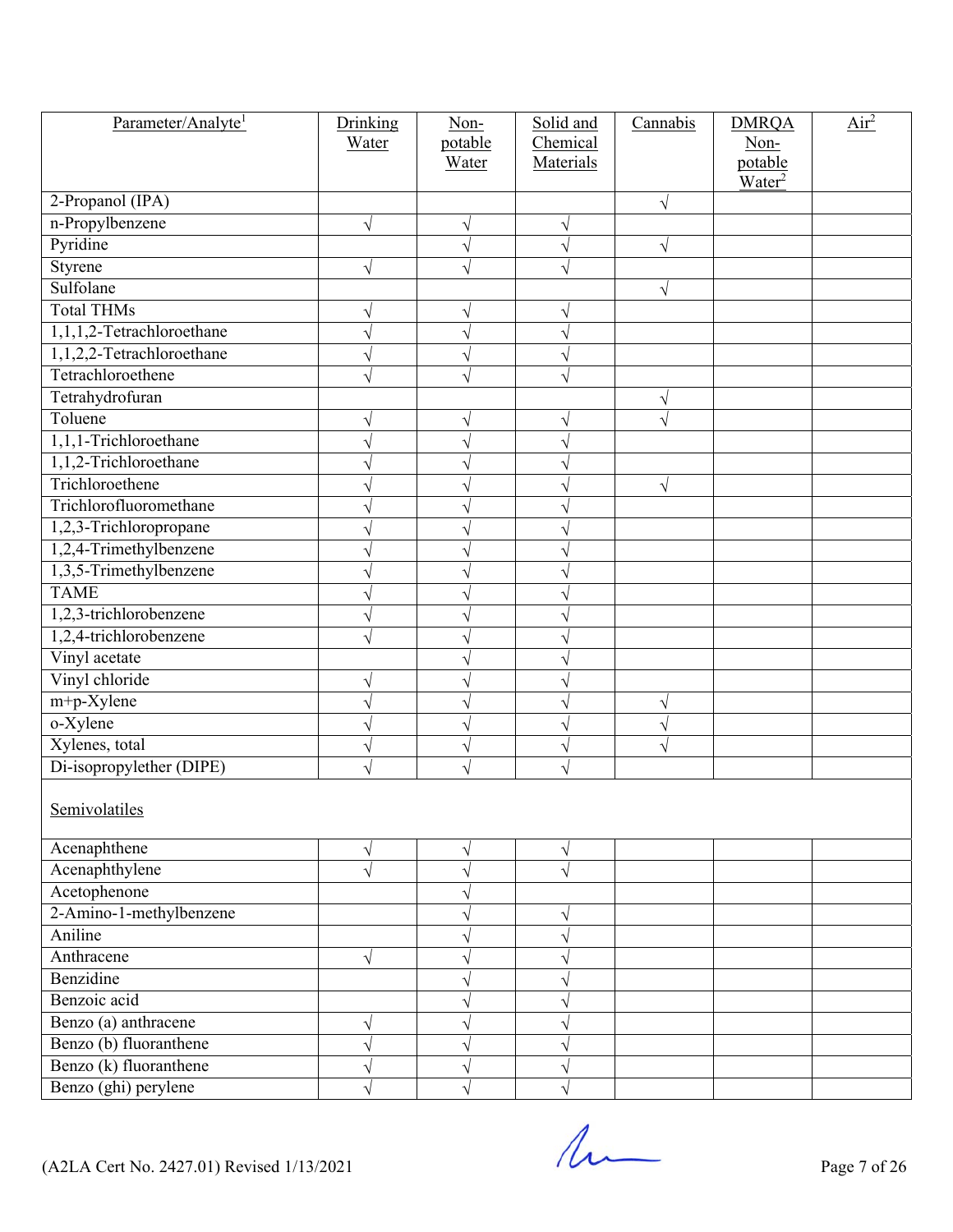| Parameter/Analyte <sup>1</sup> | Drinking<br>Water | Non-<br>potable<br>Water | Solid and<br>Chemical<br>Materials | Cannabis  | <b>DMRQA</b><br>Non-<br>potable<br>Water <sup>2</sup> | Air <sup>2</sup> |
|--------------------------------|-------------------|--------------------------|------------------------------------|-----------|-------------------------------------------------------|------------------|
| 2-Propanol (IPA)               |                   |                          |                                    | $\sqrt{}$ |                                                       |                  |
| n-Propylbenzene                | $\sqrt{}$         | $\sqrt{}$                |                                    |           |                                                       |                  |
| Pyridine                       |                   | V                        |                                    | V         |                                                       |                  |
| Styrene                        | $\sqrt{}$         | $\sqrt{}$                |                                    |           |                                                       |                  |
| Sulfolane                      |                   |                          |                                    | $\sqrt{}$ |                                                       |                  |
| <b>Total THMs</b>              |                   | V                        |                                    |           |                                                       |                  |
| 1,1,1,2-Tetrachloroethane      |                   | $\sqrt{ }$               |                                    |           |                                                       |                  |
| 1,1,2,2-Tetrachloroethane      |                   | V                        |                                    |           |                                                       |                  |
| Tetrachloroethene              |                   | V                        |                                    |           |                                                       |                  |
| Tetrahydrofuran                |                   |                          |                                    | $\sqrt{}$ |                                                       |                  |
| Toluene                        |                   | V                        |                                    |           |                                                       |                  |
| 1,1,1-Trichloroethane          |                   |                          |                                    |           |                                                       |                  |
| 1,1,2-Trichloroethane          |                   | V                        |                                    |           |                                                       |                  |
| Trichloroethene                |                   | V                        |                                    | $\sqrt{}$ |                                                       |                  |
| Trichlorofluoromethane         |                   |                          |                                    |           |                                                       |                  |
| 1,2,3-Trichloropropane         |                   | V                        |                                    |           |                                                       |                  |
| 1,2,4-Trimethylbenzene         |                   | V                        |                                    |           |                                                       |                  |
| 1,3,5-Trimethylbenzene         |                   |                          |                                    |           |                                                       |                  |
| <b>TAME</b>                    |                   | V                        |                                    |           |                                                       |                  |
| 1,2,3-trichlorobenzene         |                   | V                        |                                    |           |                                                       |                  |
| 1,2,4-trichlorobenzene         |                   | V                        |                                    |           |                                                       |                  |
| Vinyl acetate                  |                   | V                        |                                    |           |                                                       |                  |
| Vinyl chloride                 |                   | V                        |                                    |           |                                                       |                  |
| m+p-Xylene                     |                   | V                        |                                    |           |                                                       |                  |
| o-Xylene                       |                   | V                        |                                    | V         |                                                       |                  |
| Xylenes, total                 | V                 | V                        |                                    | V         |                                                       |                  |
| Di-isopropylether (DIPE)       |                   | V                        |                                    |           |                                                       |                  |
| Semivolatiles                  |                   |                          |                                    |           |                                                       |                  |
| Acenaphthene                   | V                 | V                        | V                                  |           |                                                       |                  |
| Acenaphthylene                 |                   | V                        |                                    |           |                                                       |                  |
| Acetophenone                   |                   | $\sqrt{}$                |                                    |           |                                                       |                  |
| 2-Amino-1-methylbenzene        |                   | V                        |                                    |           |                                                       |                  |
| Aniline                        |                   | V                        |                                    |           |                                                       |                  |
| Anthracene                     | $\sqrt{}$         | V                        |                                    |           |                                                       |                  |
| Benzidine                      |                   | V                        |                                    |           |                                                       |                  |
| Benzoic acid                   |                   | V                        |                                    |           |                                                       |                  |
| Benzo (a) anthracene           | V                 | V                        |                                    |           |                                                       |                  |
| Benzo (b) fluoranthene         | V                 | V                        |                                    |           |                                                       |                  |
| Benzo (k) fluoranthene         |                   | V                        |                                    |           |                                                       |                  |
| Benzo (ghi) perylene           | $\sqrt{}$         | $\sqrt{}$                |                                    |           |                                                       |                  |

 $($ A2LA Cert No. 2427.01) Revised 1/13/2021 Page 7 of 26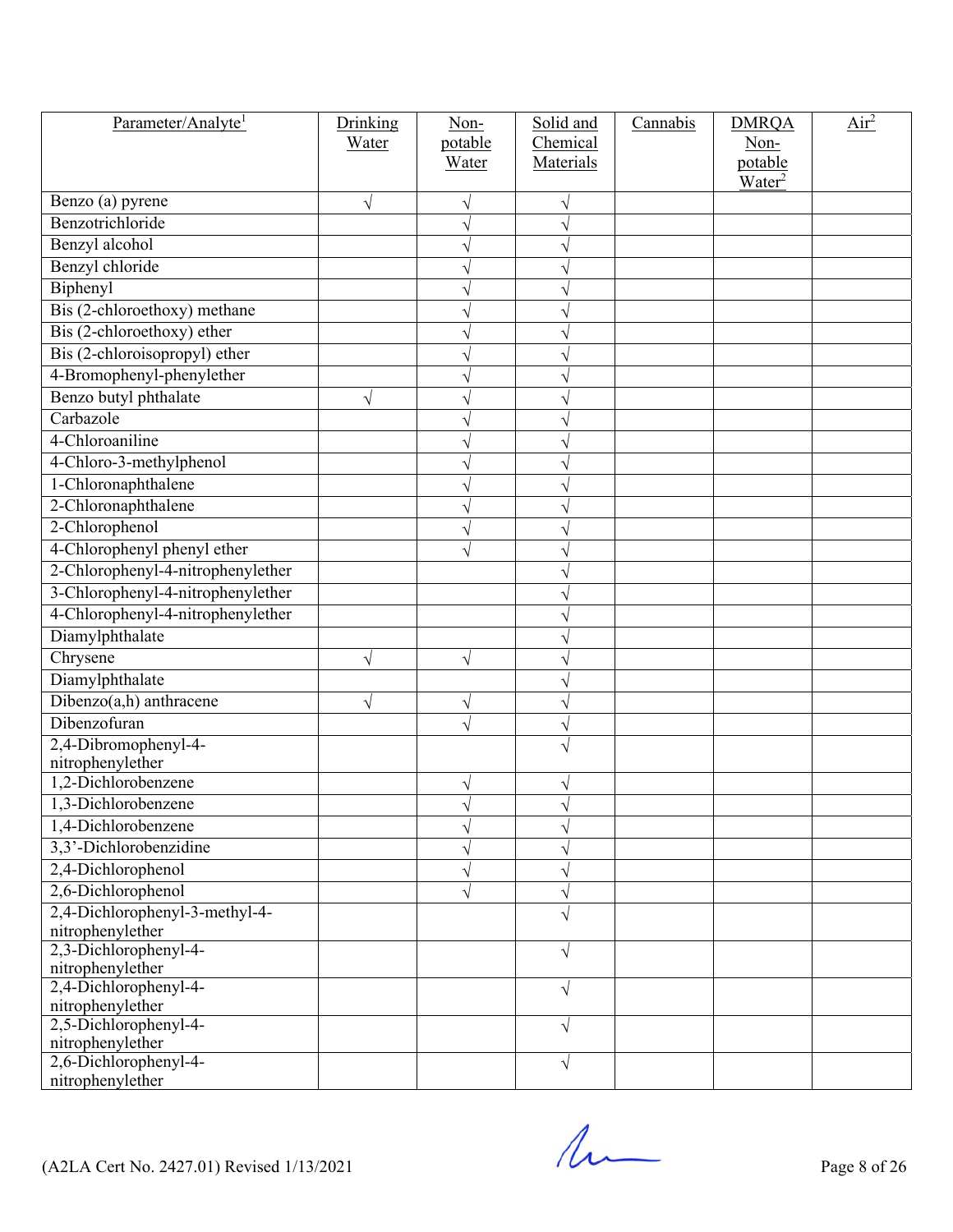| Parameter/Analyte <sup>1</sup>            | Drinking  | Non-           | Solid and | Cannabis | <b>DMRQA</b>       | Air <sup>2</sup> |
|-------------------------------------------|-----------|----------------|-----------|----------|--------------------|------------------|
|                                           | Water     | potable        | Chemical  |          | Non-               |                  |
|                                           |           | Water          | Materials |          | potable            |                  |
| Benzo (a) pyrene                          | $\sqrt{}$ |                |           |          | Water <sup>2</sup> |                  |
| Benzotrichloride                          |           | V<br>$\sqrt{}$ |           |          |                    |                  |
| Benzyl alcohol                            |           |                |           |          |                    |                  |
| Benzyl chloride                           |           |                |           |          |                    |                  |
| Biphenyl                                  |           | V              |           |          |                    |                  |
| Bis (2-chloroethoxy) methane              |           | V              |           |          |                    |                  |
| Bis (2-chloroethoxy) ether                |           |                |           |          |                    |                  |
| Bis (2-chloroisopropyl) ether             |           | V              |           |          |                    |                  |
| 4-Bromophenyl-phenylether                 |           | V              |           |          |                    |                  |
| Benzo butyl phthalate                     |           |                |           |          |                    |                  |
| Carbazole                                 | $\sqrt{}$ | V              |           |          |                    |                  |
|                                           |           | V              |           |          |                    |                  |
| 4-Chloroaniline                           |           |                |           |          |                    |                  |
| 4-Chloro-3-methylphenol                   |           | V              |           |          |                    |                  |
| 1-Chloronaphthalene                       |           |                |           |          |                    |                  |
| 2-Chloronaphthalene                       |           |                |           |          |                    |                  |
| 2-Chlorophenol                            |           | V              |           |          |                    |                  |
| 4-Chlorophenyl phenyl ether               |           |                |           |          |                    |                  |
| 2-Chlorophenyl-4-nitrophenylether         |           |                |           |          |                    |                  |
| 3-Chlorophenyl-4-nitrophenylether         |           |                |           |          |                    |                  |
| 4-Chlorophenyl-4-nitrophenylether         |           |                |           |          |                    |                  |
| Diamylphthalate                           |           |                |           |          |                    |                  |
| Chrysene                                  | $\sqrt{}$ | $\sqrt{}$      |           |          |                    |                  |
| Diamylphthalate                           |           |                |           |          |                    |                  |
| $Dibenzo(a,h)$ anthracene                 | V         | V              |           |          |                    |                  |
| Dibenzofuran                              |           | V              |           |          |                    |                  |
| 2,4-Dibromophenyl-4-                      |           |                |           |          |                    |                  |
| nitrophenylether                          |           |                |           |          |                    |                  |
| 1,2-Dichlorobenzene                       |           | V              |           |          |                    |                  |
| 1,3-Dichlorobenzene                       |           | V              |           |          |                    |                  |
| 1,4-Dichlorobenzene                       |           |                |           |          |                    |                  |
| 3,3'-Dichlorobenzidine                    |           | V              |           |          |                    |                  |
| 2,4-Dichlorophenol                        |           | V              |           |          |                    |                  |
| 2,6-Dichlorophenol                        |           | V              |           |          |                    |                  |
| 2,4-Dichlorophenyl-3-methyl-4-            |           |                |           |          |                    |                  |
| nitrophenylether                          |           |                |           |          |                    |                  |
| 2,3-Dichlorophenyl-4-                     |           |                | V         |          |                    |                  |
| nitrophenylether<br>2,4-Dichlorophenyl-4- |           |                |           |          |                    |                  |
| nitrophenylether                          |           |                | V         |          |                    |                  |
| 2,5-Dichlorophenyl-4-                     |           |                | V         |          |                    |                  |
| nitrophenylether                          |           |                |           |          |                    |                  |
| 2,6-Dichlorophenyl-4-                     |           |                | V         |          |                    |                  |
| nitrophenylether                          |           |                |           |          |                    |                  |

 $($ A2LA Cert No. 2427.01) Revised 1/13/2021 Page 8 of 26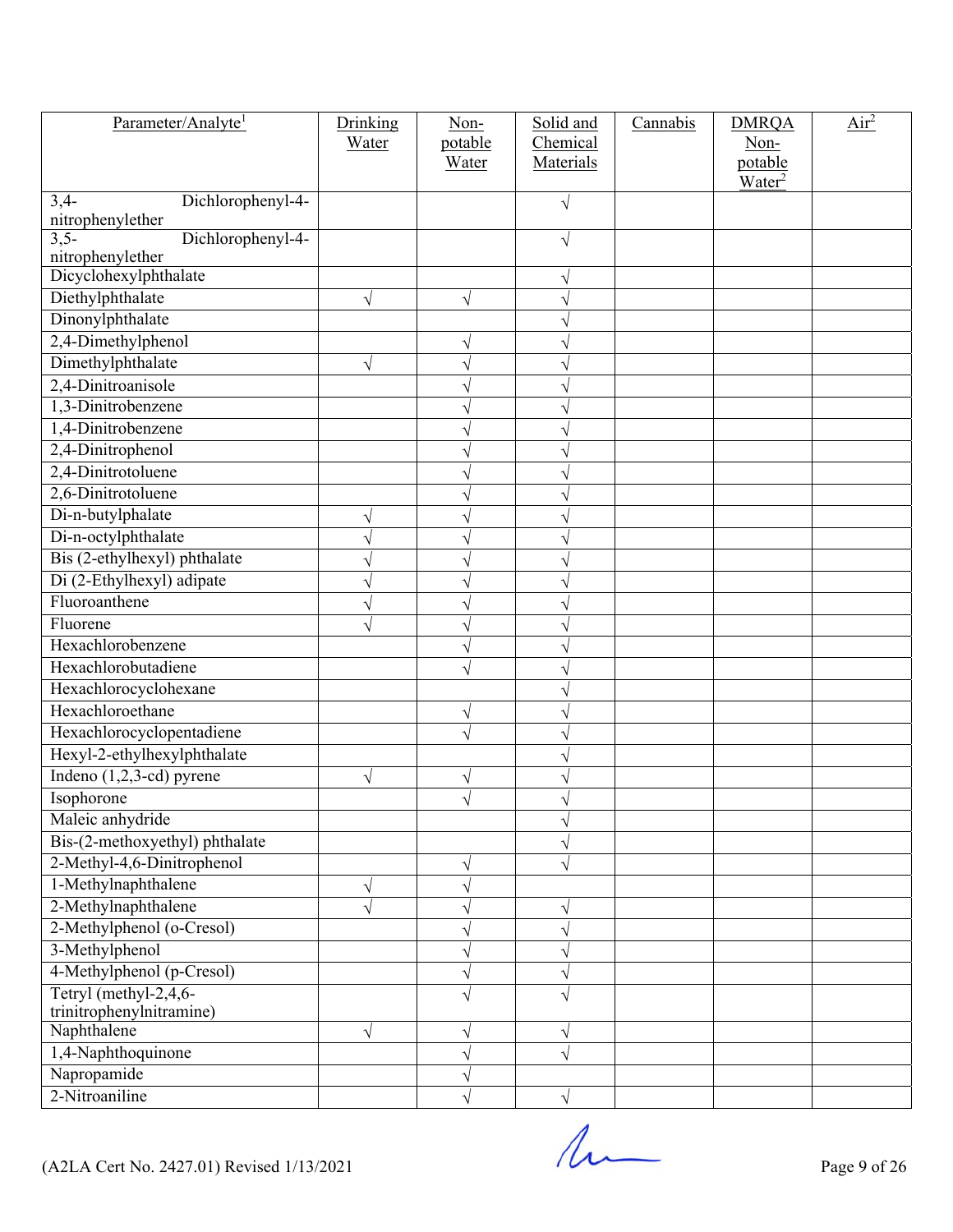| Parameter/Analyte <sup>1</sup>                  | Drinking<br>Water | Non-<br>potable | Solid and<br>Chemical | Cannabis | <b>DMRQA</b><br>Non-          | Air <sup>2</sup> |
|-------------------------------------------------|-------------------|-----------------|-----------------------|----------|-------------------------------|------------------|
|                                                 |                   | Water           | Materials             |          | potable<br>Water <sup>2</sup> |                  |
| Dichlorophenyl-4-<br>$3,4-$<br>nitrophenylether |                   |                 | V                     |          |                               |                  |
| Dichlorophenyl-4-<br>$3,5-$<br>nitrophenylether |                   |                 | V                     |          |                               |                  |
| Dicyclohexylphthalate                           |                   |                 |                       |          |                               |                  |
| Diethylphthalate                                | V                 | $\sqrt{}$       |                       |          |                               |                  |
| Dinonylphthalate                                |                   |                 |                       |          |                               |                  |
| 2,4-Dimethylphenol                              |                   | $\sqrt{}$       |                       |          |                               |                  |
| Dimethylphthalate                               |                   | $\sqrt{}$       |                       |          |                               |                  |
| 2,4-Dinitroanisole                              |                   |                 |                       |          |                               |                  |
| 1,3-Dinitrobenzene                              |                   | V               |                       |          |                               |                  |
| 1,4-Dinitrobenzene                              |                   |                 |                       |          |                               |                  |
| 2,4-Dinitrophenol                               |                   |                 |                       |          |                               |                  |
| 2,4-Dinitrotoluene                              |                   | V               |                       |          |                               |                  |
| 2,6-Dinitrotoluene                              |                   | V               |                       |          |                               |                  |
| Di-n-butylphalate                               |                   |                 |                       |          |                               |                  |
| Di-n-octylphthalate                             |                   | V               |                       |          |                               |                  |
| Bis (2-ethylhexyl) phthalate                    |                   |                 |                       |          |                               |                  |
| Di (2-Ethylhexyl) adipate                       |                   |                 |                       |          |                               |                  |
| Fluoroanthene                                   |                   | V               |                       |          |                               |                  |
| Fluorene                                        |                   | $\sqrt{}$       |                       |          |                               |                  |
| Hexachlorobenzene                               |                   |                 |                       |          |                               |                  |
| Hexachlorobutadiene                             |                   | $\sqrt{}$       |                       |          |                               |                  |
| Hexachlorocyclohexane                           |                   |                 |                       |          |                               |                  |
| Hexachloroethane                                |                   | V               |                       |          |                               |                  |
| Hexachlorocyclopentadiene                       |                   | $\sqrt{}$       |                       |          |                               |                  |
| Hexyl-2-ethylhexylphthalate                     |                   |                 |                       |          |                               |                  |
| Indeno $(1,2,3$ -cd) pyrene                     |                   |                 |                       |          |                               |                  |
| Isophorone                                      |                   | V               |                       |          |                               |                  |
| Maleic anhydride                                |                   |                 |                       |          |                               |                  |
| Bis-(2-methoxyethyl) phthalate                  |                   |                 |                       |          |                               |                  |
| 2-Methyl-4,6-Dinitrophenol                      |                   | V               |                       |          |                               |                  |
| 1-Methylnaphthalene                             | V                 | $\sqrt{}$       |                       |          |                               |                  |
| 2-Methylnaphthalene                             |                   | V               |                       |          |                               |                  |
| 2-Methylphenol (o-Cresol)                       |                   | V               |                       |          |                               |                  |
| 3-Methylphenol                                  |                   | $\sqrt{}$       |                       |          |                               |                  |
| 4-Methylphenol (p-Cresol)                       |                   | V               |                       |          |                               |                  |
| Tetryl (methyl- $2,4,6$ -                       |                   | $\sqrt{}$       |                       |          |                               |                  |
| trinitrophenylnitramine)                        |                   |                 |                       |          |                               |                  |
| Naphthalene                                     | V                 | V               |                       |          |                               |                  |
| 1,4-Naphthoquinone                              |                   | $\sqrt{}$       |                       |          |                               |                  |
| Napropamide                                     |                   |                 |                       |          |                               |                  |
| 2-Nitroaniline                                  |                   |                 |                       |          |                               |                  |

 $($ A2LA Cert No. 2427.01) Revised 1/13/2021 Page 9 of 26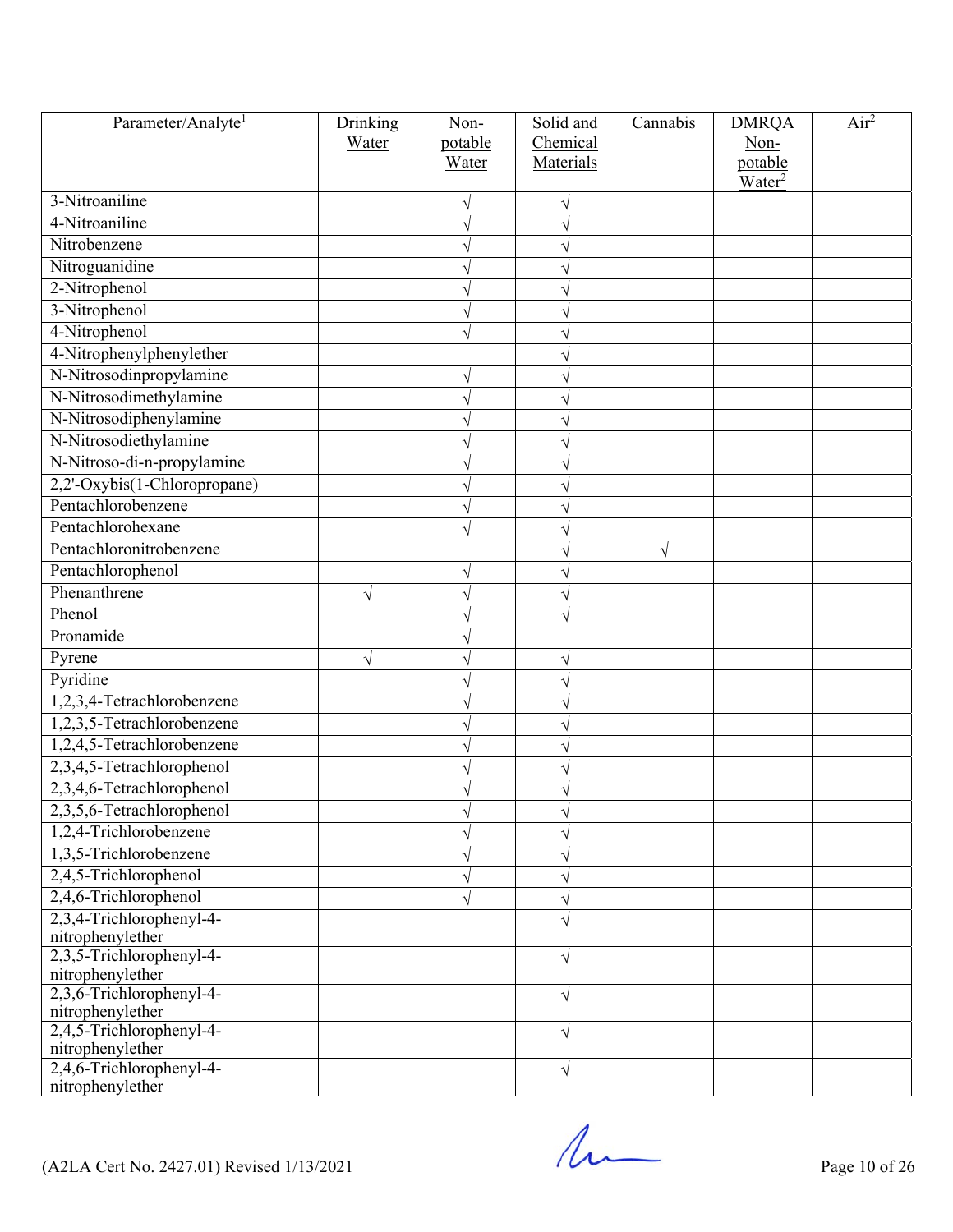| Parameter/Analyte <sup>1</sup>               | Drinking  | Non-             | Solid and             | Cannabis | <b>DMRQA</b>                  | Air <sup>2</sup> |
|----------------------------------------------|-----------|------------------|-----------------------|----------|-------------------------------|------------------|
|                                              | Water     | potable<br>Water | Chemical<br>Materials |          | Non-                          |                  |
|                                              |           |                  |                       |          | potable<br>Water <sup>2</sup> |                  |
| 3-Nitroaniline                               |           | V                |                       |          |                               |                  |
| 4-Nitroaniline                               |           | V                |                       |          |                               |                  |
| Nitrobenzene                                 |           |                  |                       |          |                               |                  |
| Nitroguanidine                               |           | V                |                       |          |                               |                  |
| 2-Nitrophenol                                |           | V                |                       |          |                               |                  |
| 3-Nitrophenol                                |           |                  |                       |          |                               |                  |
| 4-Nitrophenol                                |           | V                |                       |          |                               |                  |
| 4-Nitrophenylphenylether                     |           |                  |                       |          |                               |                  |
| N-Nitrosodinpropylamine                      |           | V                |                       |          |                               |                  |
| N-Nitrosodimethylamine                       |           | V                |                       |          |                               |                  |
| N-Nitrosodiphenylamine                       |           | V                |                       |          |                               |                  |
| N-Nitrosodiethylamine                        |           |                  |                       |          |                               |                  |
| N-Nitroso-di-n-propylamine                   |           | V                |                       |          |                               |                  |
| 2,2'-Oxybis(1-Chloropropane)                 |           |                  |                       |          |                               |                  |
| Pentachlorobenzene                           |           |                  |                       |          |                               |                  |
| Pentachlorohexane                            |           | V                |                       |          |                               |                  |
| Pentachloronitrobenzene                      |           |                  |                       | V        |                               |                  |
| Pentachlorophenol                            |           |                  |                       |          |                               |                  |
| Phenanthrene                                 | V         | V                |                       |          |                               |                  |
| Phenol                                       |           | V                |                       |          |                               |                  |
| Pronamide                                    |           | V                |                       |          |                               |                  |
| Pyrene                                       | $\sqrt{}$ | V                | V                     |          |                               |                  |
| Pyridine                                     |           | V                |                       |          |                               |                  |
| 1,2,3,4-Tetrachlorobenzene                   |           |                  |                       |          |                               |                  |
| 1,2,3,5-Tetrachlorobenzene                   |           | V                |                       |          |                               |                  |
| 1,2,4,5-Tetrachlorobenzene                   |           | V                |                       |          |                               |                  |
| 2,3,4,5-Tetrachlorophenol                    |           |                  |                       |          |                               |                  |
| 2,3,4,6-Tetrachlorophenol                    |           | V                |                       |          |                               |                  |
| 2,3,5,6-Tetrachlorophenol                    |           |                  |                       |          |                               |                  |
| 1,2,4-Trichlorobenzene                       |           | V                |                       |          |                               |                  |
| 1,3,5-Trichlorobenzene                       |           | V                |                       |          |                               |                  |
| 2,4,5-Trichlorophenol                        |           | V                |                       |          |                               |                  |
| 2,4,6-Trichlorophenol                        |           | V                |                       |          |                               |                  |
| 2,3,4-Trichlorophenyl-4-                     |           |                  |                       |          |                               |                  |
| nitrophenylether                             |           |                  |                       |          |                               |                  |
| 2,3,5-Trichlorophenyl-4-                     |           |                  | V                     |          |                               |                  |
| nitrophenylether                             |           |                  |                       |          |                               |                  |
| 2,3,6-Trichlorophenyl-4-                     |           |                  | V                     |          |                               |                  |
| nitrophenylether<br>2,4,5-Trichlorophenyl-4- |           |                  |                       |          |                               |                  |
| nitrophenylether                             |           |                  | V                     |          |                               |                  |
| 2,4,6-Trichlorophenyl-4-                     |           |                  | V                     |          |                               |                  |
| nitrophenylether                             |           |                  |                       |          |                               |                  |

 $($ A2LA Cert No. 2427.01) Revised 1/13/2021 Page 10 of 26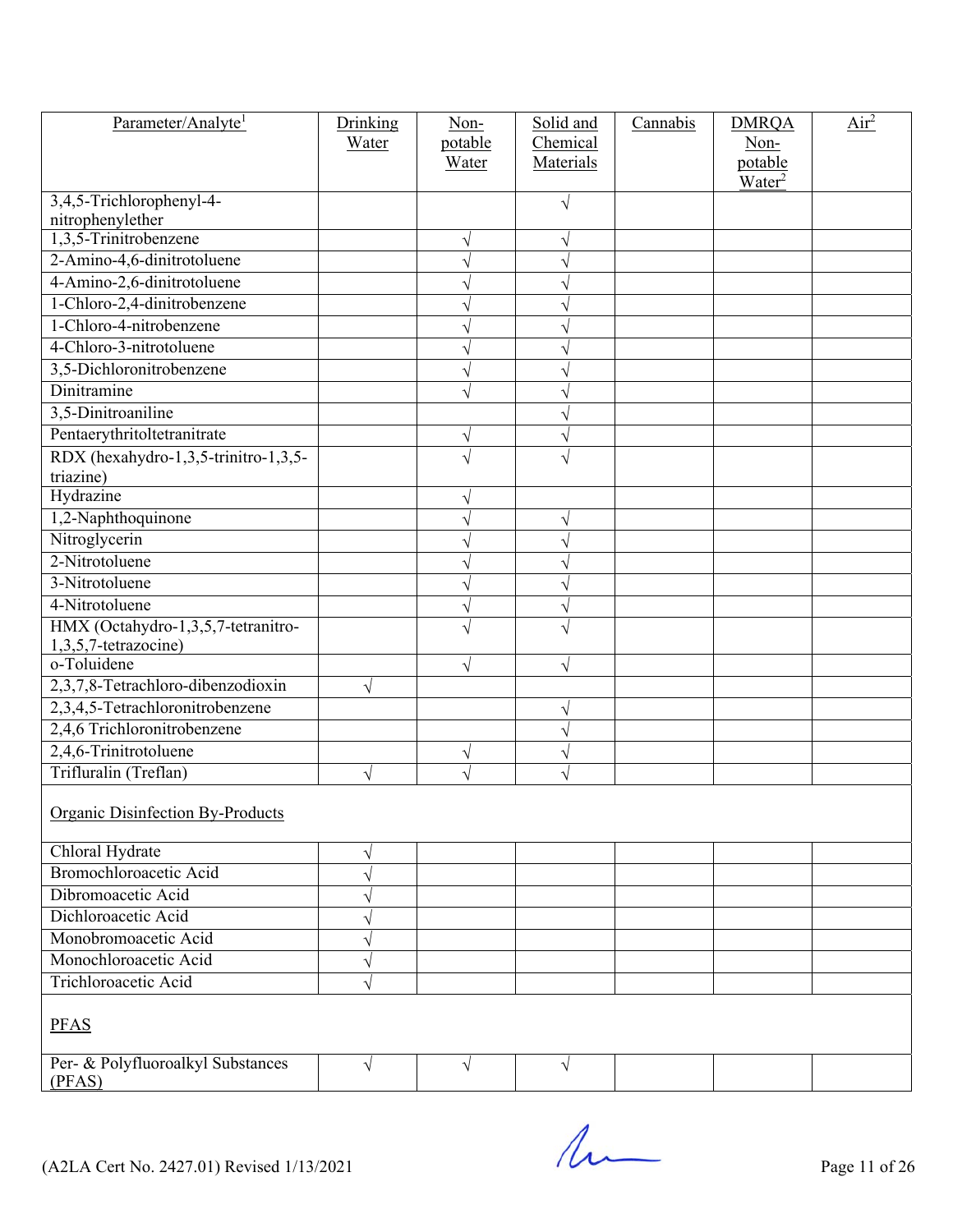| Parameter/Analyte <sup>1</sup>              | Drinking  | Non-           | Solid and | Cannabis | <b>DMRQA</b>                  | Air <sup>2</sup> |
|---------------------------------------------|-----------|----------------|-----------|----------|-------------------------------|------------------|
|                                             | Water     | potable        | Chemical  |          | Non-                          |                  |
|                                             |           | Water          | Materials |          | potable<br>Water <sup>2</sup> |                  |
| 3,4,5-Trichlorophenyl-4-                    |           |                | $\sqrt{}$ |          |                               |                  |
| nitrophenylether                            |           |                |           |          |                               |                  |
| 1,3,5-Trinitrobenzene                       |           | V              | V         |          |                               |                  |
| 2-Amino-4,6-dinitrotoluene                  |           | $\sqrt{}$      |           |          |                               |                  |
| 4-Amino-2,6-dinitrotoluene                  |           | N              |           |          |                               |                  |
| 1-Chloro-2,4-dinitrobenzene                 |           | V              |           |          |                               |                  |
| 1-Chloro-4-nitrobenzene                     |           | V              |           |          |                               |                  |
| 4-Chloro-3-nitrotoluene                     |           | V              |           |          |                               |                  |
| 3,5-Dichloronitrobenzene                    |           | V              |           |          |                               |                  |
| Dinitramine                                 |           | $\sqrt{}$      |           |          |                               |                  |
| 3,5-Dinitroaniline                          |           |                |           |          |                               |                  |
| Pentaerythritoltetranitrate                 |           | $\sqrt{}$      |           |          |                               |                  |
| RDX (hexahydro-1,3,5-trinitro-1,3,5-        |           | V              |           |          |                               |                  |
| triazine)<br>Hydrazine                      |           |                |           |          |                               |                  |
| 1,2-Naphthoquinone                          |           |                |           |          |                               |                  |
| Nitroglycerin                               |           | V              | V         |          |                               |                  |
| 2-Nitrotoluene                              |           | V              |           |          |                               |                  |
| 3-Nitrotoluene                              |           | V              |           |          |                               |                  |
| 4-Nitrotoluene                              |           | V              |           |          |                               |                  |
| HMX (Octahydro-1,3,5,7-tetranitro-          |           | $\sqrt{}$<br>V |           |          |                               |                  |
| 1,3,5,7-tetrazocine)                        |           |                |           |          |                               |                  |
| o-Toluidene                                 |           | V              | V         |          |                               |                  |
| 2,3,7,8-Tetrachloro-dibenzodioxin           | $\sqrt{}$ |                |           |          |                               |                  |
| 2,3,4,5-Tetrachloronitrobenzene             |           |                |           |          |                               |                  |
| 2,4,6 Trichloronitrobenzene                 |           |                |           |          |                               |                  |
| 2,4,6-Trinitrotoluene                       |           | $\sqrt{}$      |           |          |                               |                  |
| Trifluralin (Treflan)                       |           | V              |           |          |                               |                  |
| <b>Organic Disinfection By-Products</b>     |           |                |           |          |                               |                  |
|                                             |           |                |           |          |                               |                  |
| Chloral Hydrate                             | V         |                |           |          |                               |                  |
| <b>Bromochloroacetic Acid</b>               |           |                |           |          |                               |                  |
| Dibromoacetic Acid                          |           |                |           |          |                               |                  |
| Dichloroacetic Acid                         |           |                |           |          |                               |                  |
| Monobromoacetic Acid                        |           |                |           |          |                               |                  |
| Monochloroacetic Acid                       | V         |                |           |          |                               |                  |
| Trichloroacetic Acid                        | V         |                |           |          |                               |                  |
|                                             |           |                |           |          |                               |                  |
| <b>PFAS</b>                                 |           |                |           |          |                               |                  |
| Per- & Polyfluoroalkyl Substances<br>(PFAS) | $\sqrt{}$ | $\sqrt{ }$     | $\sqrt{}$ |          |                               |                  |

 $($ A2LA Cert No. 2427.01) Revised 1/13/2021 Page 11 of 26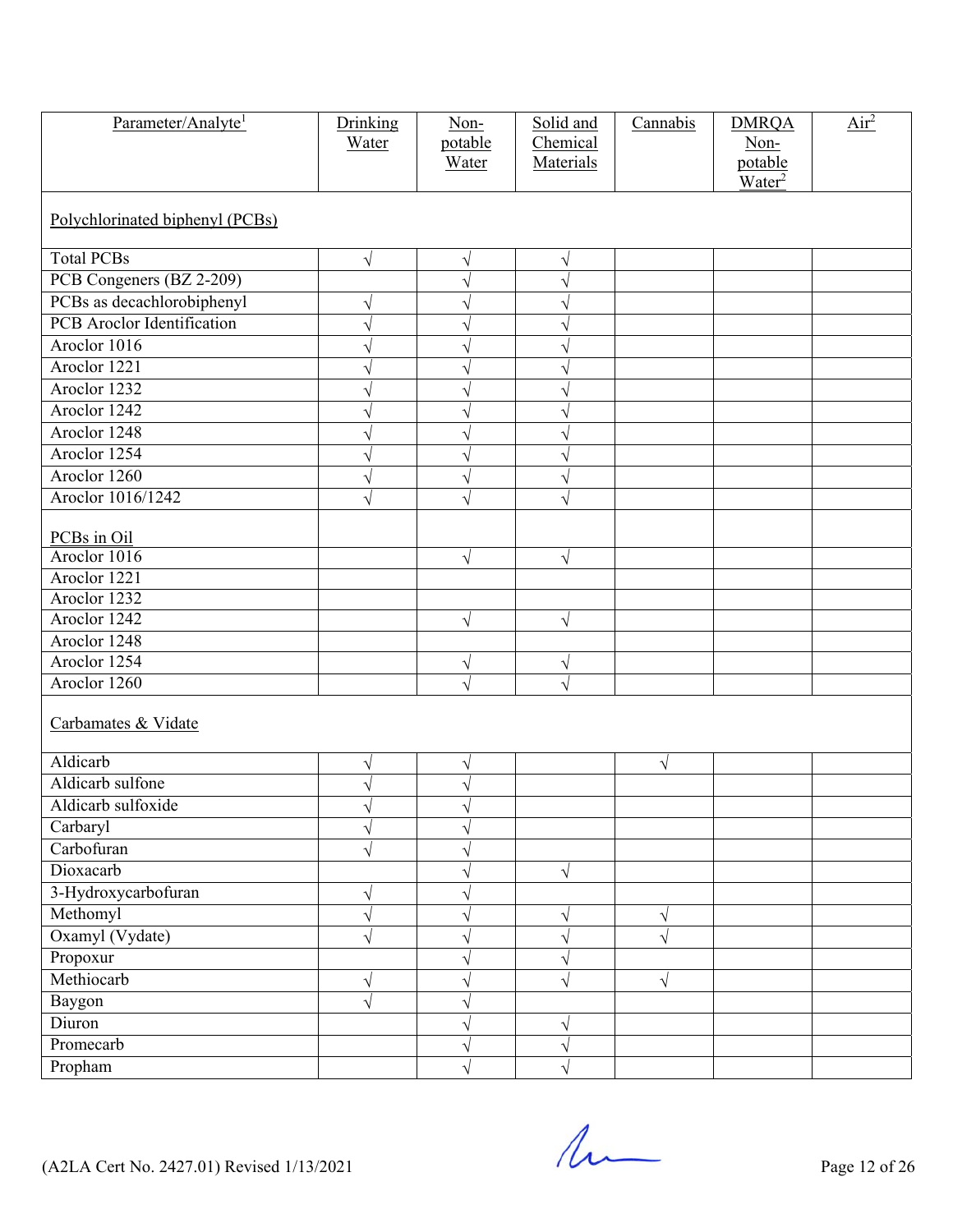| Parameter/Analyte <sup>1</sup>    | Drinking<br>Water | Non-<br>potable<br>Water | Solid and<br>Chemical<br>Materials | Cannabis  | <b>DMRQA</b><br>Non-<br>potable<br>Water <sup>2</sup> | $\overline{\text{Air}^2}$ |  |  |  |
|-----------------------------------|-------------------|--------------------------|------------------------------------|-----------|-------------------------------------------------------|---------------------------|--|--|--|
| Polychlorinated biphenyl (PCBs)   |                   |                          |                                    |           |                                                       |                           |  |  |  |
| <b>Total PCBs</b>                 | V                 | V                        | V                                  |           |                                                       |                           |  |  |  |
| PCB Congeners (BZ 2-209)          |                   | $\sqrt{2}$               | N                                  |           |                                                       |                           |  |  |  |
| PCBs as decachlorobiphenyl        | $\sqrt{}$         | $\sqrt{}$                | V                                  |           |                                                       |                           |  |  |  |
| <b>PCB</b> Aroclor Identification | $\sqrt{}$         | $\sqrt{}$                | ٦                                  |           |                                                       |                           |  |  |  |
| Aroclor 1016                      |                   | N                        |                                    |           |                                                       |                           |  |  |  |
| Aroclor 1221                      | V                 | $\sqrt{}$                |                                    |           |                                                       |                           |  |  |  |
| Aroclor 1232                      | V                 | $\sqrt{}$                |                                    |           |                                                       |                           |  |  |  |
| Aroclor 1242                      |                   | N                        |                                    |           |                                                       |                           |  |  |  |
| Aroclor 1248                      | V                 | $\sqrt{}$                |                                    |           |                                                       |                           |  |  |  |
| Aroclor 1254                      | $\sqrt{}$         | $\sqrt{}$                | V                                  |           |                                                       |                           |  |  |  |
| Aroclor 1260                      |                   | ٦                        |                                    |           |                                                       |                           |  |  |  |
| Aroclor 1016/1242                 | $\sqrt{}$         | $\sqrt{}$                | $\sqrt{}$                          |           |                                                       |                           |  |  |  |
|                                   |                   |                          |                                    |           |                                                       |                           |  |  |  |
| PCBs in Oil<br>Aroclor 1016       |                   |                          |                                    |           |                                                       |                           |  |  |  |
| Aroclor 1221                      |                   | $\sqrt{}$                | $\sqrt{}$                          |           |                                                       |                           |  |  |  |
| Aroclor 1232                      |                   |                          |                                    |           |                                                       |                           |  |  |  |
| Aroclor 1242                      |                   | $\sqrt{}$                | $\sqrt{}$                          |           |                                                       |                           |  |  |  |
| Aroclor 1248                      |                   |                          |                                    |           |                                                       |                           |  |  |  |
| Aroclor 1254                      |                   | $\sqrt{ }$               | V                                  |           |                                                       |                           |  |  |  |
| Aroclor 1260                      |                   | $\sqrt{}$                | $\sqrt{}$                          |           |                                                       |                           |  |  |  |
|                                   |                   |                          |                                    |           |                                                       |                           |  |  |  |
| Carbamates & Vidate               |                   |                          |                                    |           |                                                       |                           |  |  |  |
| Aldicarb                          | V                 | $\sqrt{}$                |                                    | $\sqrt{}$ |                                                       |                           |  |  |  |
| Aldicarb sulfone                  | V                 | V                        |                                    |           |                                                       |                           |  |  |  |
| Aldicarb sulfoxide                | Ν                 | V                        |                                    |           |                                                       |                           |  |  |  |
| Carbaryl                          | $\sqrt{}$         | $\sqrt{}$                |                                    |           |                                                       |                           |  |  |  |
| Carbofuran                        |                   | ٦                        |                                    |           |                                                       |                           |  |  |  |
| Dioxacarb                         |                   | $\sqrt{}$                | $\sqrt{}$                          |           |                                                       |                           |  |  |  |
| 3-Hydroxycarbofuran               | $\sqrt{}$         | V                        |                                    |           |                                                       |                           |  |  |  |
| Methomyl                          | V                 | ٦                        | V                                  | V         |                                                       |                           |  |  |  |
| Oxamyl (Vydate)                   | $\sqrt{}$         | $\sqrt{}$                | $\overline{\sqrt{2}}$              | $\sqrt{}$ |                                                       |                           |  |  |  |
| Propoxur                          |                   | V                        |                                    |           |                                                       |                           |  |  |  |
| Methiocarb                        | V                 | ٦                        |                                    | $\sqrt{}$ |                                                       |                           |  |  |  |
| Baygon                            | $\sqrt{}$         | $\sqrt{}$                |                                    |           |                                                       |                           |  |  |  |
| Diuron                            |                   | V                        | V                                  |           |                                                       |                           |  |  |  |
| Promecarb                         |                   | ٦                        | V                                  |           |                                                       |                           |  |  |  |
| Propham                           |                   | $\sqrt{}$                |                                    |           |                                                       |                           |  |  |  |

 $($ A2LA Cert No. 2427.01) Revised 1/13/2021 Page 12 of 26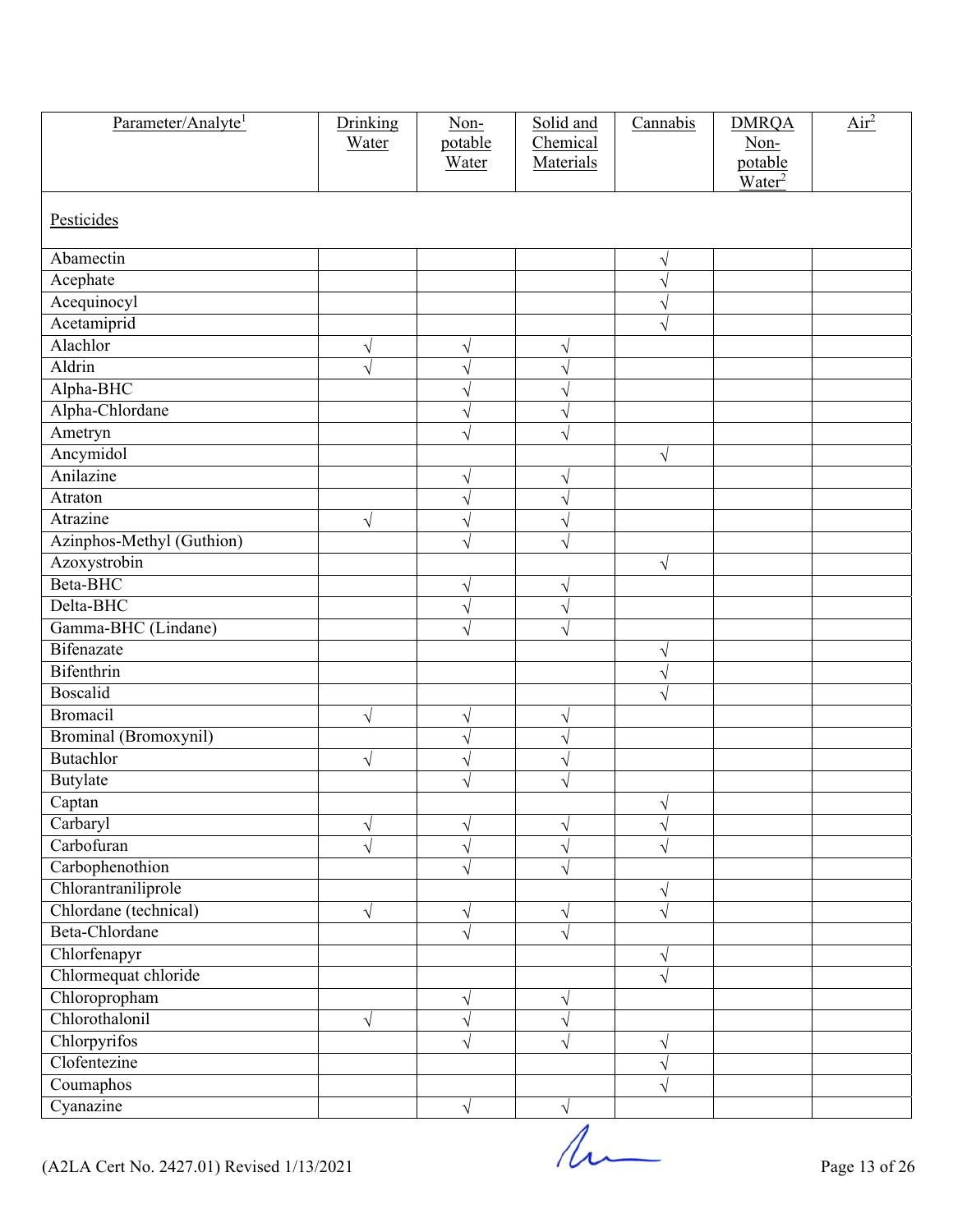| Parameter/Analyte <sup>1</sup> | Drinking<br>Water | Non-<br>potable<br>Water | Solid and<br>Chemical<br>Materials | Cannabis              | <b>DMRQA</b><br>Non-<br>potable | $\overline{Air}^2$ |
|--------------------------------|-------------------|--------------------------|------------------------------------|-----------------------|---------------------------------|--------------------|
| Pesticides                     |                   |                          |                                    |                       | $\overline{\text{Water}^2}$     |                    |
| Abamectin                      |                   |                          |                                    | V                     |                                 |                    |
| Acephate                       |                   |                          |                                    | V                     |                                 |                    |
| Acequinocyl                    |                   |                          |                                    | V                     |                                 |                    |
| Acetamiprid                    |                   |                          |                                    | $\sqrt{}$             |                                 |                    |
| Alachlor                       | V                 | N                        | V                                  |                       |                                 |                    |
| Aldrin                         | $\sqrt{}$         | $\sqrt{}$                | V                                  |                       |                                 |                    |
| Alpha-BHC                      |                   | $\sqrt{}$                | V                                  |                       |                                 |                    |
| Alpha-Chlordane                |                   | $\sqrt{}$                | V                                  |                       |                                 |                    |
| Ametryn                        |                   | V                        | V                                  |                       |                                 |                    |
| Ancymidol                      |                   |                          |                                    | $\sqrt{}$             |                                 |                    |
| Anilazine                      |                   | N                        | V                                  |                       |                                 |                    |
| Atraton                        |                   | $\sqrt{}$                | V                                  |                       |                                 |                    |
| Atrazine                       | $\sqrt{}$         | $\sqrt{}$                | V                                  |                       |                                 |                    |
| Azinphos-Methyl (Guthion)      |                   | $\sqrt{}$                | $\overline{\sqrt{2}}$              |                       |                                 |                    |
| Azoxystrobin                   |                   |                          |                                    | $\sqrt{ }$            |                                 |                    |
| Beta-BHC                       |                   | $\sqrt{ }$               | V                                  |                       |                                 |                    |
| Delta-BHC                      |                   | $\sqrt{}$                | $\sqrt{}$                          |                       |                                 |                    |
| Gamma-BHC (Lindane)            |                   | $\sqrt{}$                | $\sqrt{}$                          |                       |                                 |                    |
| Bifenazate                     |                   |                          |                                    | V                     |                                 |                    |
| Bifenthrin                     |                   |                          |                                    | V                     |                                 |                    |
| Boscalid                       |                   |                          |                                    | $\overline{\sqrt{2}}$ |                                 |                    |
| <b>Bromacil</b>                | $\sqrt{}$         | V                        | V                                  |                       |                                 |                    |
| Brominal (Bromoxynil)          |                   | $\sqrt{}$                | $\sqrt{2}$                         |                       |                                 |                    |
| Butachlor                      | $\sqrt{}$         | $\sqrt{}$                | $\sqrt{}$                          |                       |                                 |                    |
| Butylate                       |                   | V                        | V                                  |                       |                                 |                    |
| Captan                         |                   |                          |                                    | $\sqrt{ }$            |                                 |                    |
| Carbaryl                       | $\sqrt{}$         | $\sqrt{}$                | V                                  | $\sqrt{}$             |                                 |                    |
| Carbofuran                     |                   | V                        | V                                  | V                     |                                 |                    |
| Carbophenothion                |                   | $\sqrt{}$                | $\sqrt{}$                          |                       |                                 |                    |
| Chlorantraniliprole            |                   |                          |                                    | $\sqrt{}$             |                                 |                    |
| Chlordane (technical)          | $\sqrt{}$         | $\sqrt{}$                | $\sqrt{}$                          | V                     |                                 |                    |
| Beta-Chlordane                 |                   | V                        | N                                  |                       |                                 |                    |
| Chlorfenapyr                   |                   |                          |                                    | V                     |                                 |                    |
| Chlormequat chloride           |                   |                          |                                    | $\sqrt{}$             |                                 |                    |
| Chloropropham                  |                   | $\sqrt{ }$               | V                                  |                       |                                 |                    |
| Chlorothalonil                 | $\sqrt{}$         | $\sqrt{}$                | $\sqrt{}$                          |                       |                                 |                    |
| Chlorpyrifos                   |                   | $\sqrt{}$                | $\sqrt{}$                          | $\sqrt{}$             |                                 |                    |
| Clofentezine                   |                   |                          |                                    | V                     |                                 |                    |
| Coumaphos                      |                   |                          |                                    | $\sqrt{}$             |                                 |                    |
| Cyanazine                      |                   | $\sqrt{ }$               | $\sqrt{}$                          |                       |                                 |                    |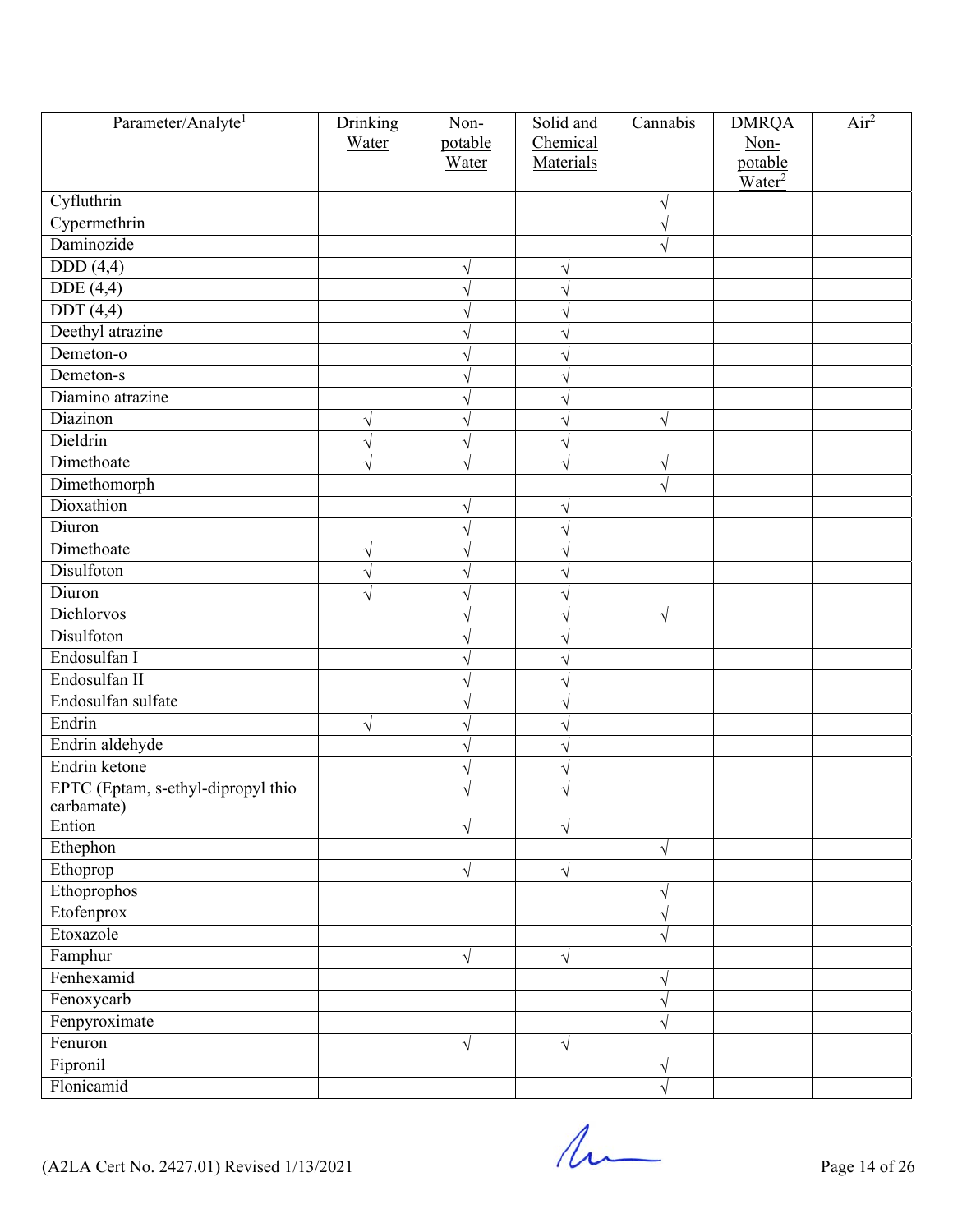| Parameter/Analyte <sup>1</sup>     | Drinking  | Non-      | Solid and | Cannabis  | <b>DMRQA</b>       | $\overline{Air}^2$ |
|------------------------------------|-----------|-----------|-----------|-----------|--------------------|--------------------|
|                                    | Water     | potable   | Chemical  |           | Non-               |                    |
|                                    |           | Water     | Materials |           | potable            |                    |
| Cyfluthrin                         |           |           |           | $\sqrt{}$ | Water <sup>2</sup> |                    |
| Cypermethrin                       |           |           |           | V         |                    |                    |
| Daminozide                         |           |           |           |           |                    |                    |
| DDD(4,4)                           |           | $\sqrt{}$ | V         |           |                    |                    |
| DDE(4,4)                           |           | $\sqrt{}$ |           |           |                    |                    |
| DDT(4,4)                           |           | V         |           |           |                    |                    |
| Deethyl atrazine                   |           | V         |           |           |                    |                    |
| Demeton-o                          |           | V         |           |           |                    |                    |
| Demeton-s                          |           | V         |           |           |                    |                    |
| Diamino atrazine                   |           | V         |           |           |                    |                    |
| Diazinon                           |           | $\sqrt{}$ |           | $\sqrt{}$ |                    |                    |
| Dieldrin                           | V         | $\sqrt{}$ |           |           |                    |                    |
| Dimethoate                         |           | $\sqrt{}$ |           | V         |                    |                    |
| Dimethomorph                       |           |           |           | $\sqrt{}$ |                    |                    |
| Dioxathion                         |           | $\sqrt{}$ |           |           |                    |                    |
| Diuron                             |           | $\sqrt{}$ | V         |           |                    |                    |
| Dimethoate                         |           |           |           |           |                    |                    |
| Disulfoton                         | V         | V         |           |           |                    |                    |
| Diuron                             |           | V         |           |           |                    |                    |
| Dichlorvos                         |           | V         |           |           |                    |                    |
| Disulfoton                         |           | V         |           | $\sqrt{}$ |                    |                    |
| Endosulfan I                       |           | V         |           |           |                    |                    |
| Endosulfan II                      |           | V         |           |           |                    |                    |
| Endosulfan sulfate                 |           | V         |           |           |                    |                    |
| Endrin                             |           | V         |           |           |                    |                    |
| Endrin aldehyde                    | $\sqrt{}$ | $\sqrt{}$ |           |           |                    |                    |
| Endrin ketone                      |           | $\sqrt{}$ |           |           |                    |                    |
| EPTC (Eptam, s-ethyl-dipropyl thio |           | V         |           |           |                    |                    |
| carbamate)                         |           | V         |           |           |                    |                    |
| Ention                             |           | $\sqrt{}$ | V         |           |                    |                    |
| Ethephon                           |           |           |           | $\sqrt{}$ |                    |                    |
| Ethoprop                           |           | $\sqrt{}$ | $\sqrt{}$ |           |                    |                    |
| Ethoprophos                        |           |           |           | $\sqrt{}$ |                    |                    |
| Etofenprox                         |           |           |           | V         |                    |                    |
| Etoxazole                          |           |           |           | V         |                    |                    |
| Famphur                            |           | $\sqrt{}$ | $\sqrt{}$ |           |                    |                    |
| Fenhexamid                         |           |           |           | V         |                    |                    |
| Fenoxycarb                         |           |           |           | V         |                    |                    |
| Fenpyroximate                      |           |           |           | $\sqrt{}$ |                    |                    |
| Fenuron                            |           | $\sqrt{}$ | $\sqrt{}$ |           |                    |                    |
| Fipronil                           |           |           |           | V         |                    |                    |
| Flonicamid                         |           |           |           | $\sqrt{}$ |                    |                    |

 $($ A2LA Cert No. 2427.01) Revised 1/13/2021 Page 14 of 26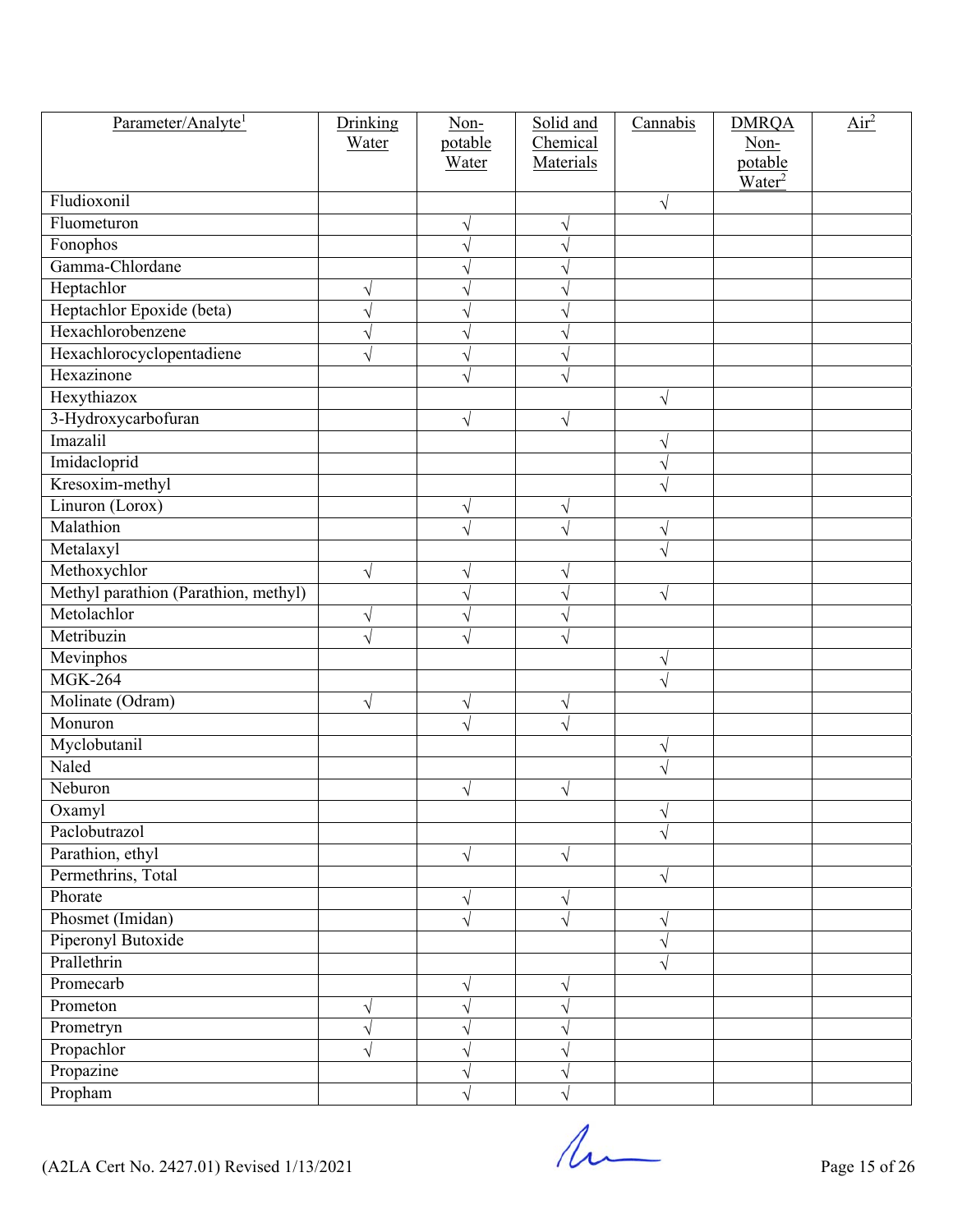| Parameter/Analyte <sup>1</sup>       | Drinking              | Non-                  | Solid and | Cannabis  | <b>DMRQA</b>       | Air <sup>2</sup> |
|--------------------------------------|-----------------------|-----------------------|-----------|-----------|--------------------|------------------|
|                                      | Water                 | potable               | Chemical  |           | Non-               |                  |
|                                      |                       | Water                 | Materials |           | potable            |                  |
| Fludioxonil                          |                       |                       |           | $\sqrt{}$ | Water <sup>2</sup> |                  |
| Fluometuron                          |                       | V                     |           |           |                    |                  |
| Fonophos                             |                       | V                     |           |           |                    |                  |
| Gamma-Chlordane                      |                       | $\sqrt{}$             |           |           |                    |                  |
| Heptachlor                           | V                     | V                     |           |           |                    |                  |
| Heptachlor Epoxide (beta)            | N                     | $\boldsymbol{\gamma}$ |           |           |                    |                  |
| Hexachlorobenzene                    | V                     | V                     |           |           |                    |                  |
| Hexachlorocyclopentadiene            | $\sqrt{}$             | $\sqrt{}$             |           |           |                    |                  |
| Hexazinone                           |                       | V                     |           |           |                    |                  |
| Hexythiazox                          |                       |                       |           | $\sqrt{}$ |                    |                  |
| 3-Hydroxycarbofuran                  |                       | V                     | V         |           |                    |                  |
| Imazalil                             |                       |                       |           |           |                    |                  |
| Imidacloprid                         |                       |                       |           | V         |                    |                  |
| Kresoxim-methyl                      |                       |                       |           | $\sqrt{}$ |                    |                  |
| Linuron (Lorox)                      |                       | V                     | V         |           |                    |                  |
| Malathion                            |                       | $\sqrt{ }$            |           | $\sqrt{}$ |                    |                  |
| Metalaxyl                            |                       |                       |           |           |                    |                  |
| Methoxychlor                         | N                     | V                     |           |           |                    |                  |
| Methyl parathion (Parathion, methyl) |                       | $\sqrt{}$             |           | $\sqrt{}$ |                    |                  |
| Metolachlor                          | V                     | V                     |           |           |                    |                  |
| Metribuzin                           | $\overline{\sqrt{2}}$ | V                     |           |           |                    |                  |
| Mevinphos                            |                       |                       |           | V         |                    |                  |
| <b>MGK-264</b>                       |                       |                       |           |           |                    |                  |
| Molinate (Odram)                     | $\sqrt{}$             | V                     | V         |           |                    |                  |
| Monuron                              |                       | $\sqrt{}$             | $\sqrt{}$ |           |                    |                  |
| Myclobutanil                         |                       |                       |           | $\sqrt{}$ |                    |                  |
| Naled                                |                       |                       |           |           |                    |                  |
| Neburon                              |                       | V                     | V         |           |                    |                  |
| Oxamyl                               |                       |                       |           | V         |                    |                  |
| Paclobutrazol                        |                       |                       |           | $\sqrt{}$ |                    |                  |
| Parathion, ethyl                     |                       | $\sqrt{}$             | $\sqrt{}$ |           |                    |                  |
| Permethrins, Total                   |                       |                       |           | $\sqrt{}$ |                    |                  |
| Phorate                              |                       | V                     | V         |           |                    |                  |
| Phosmet (Imidan)                     |                       | $\sqrt{}$             |           | V         |                    |                  |
| Piperonyl Butoxide                   |                       |                       |           | V         |                    |                  |
| Prallethrin                          |                       |                       |           | V         |                    |                  |
| Promecarb                            |                       | $\sqrt{}$             | $\sqrt{}$ |           |                    |                  |
| Prometon                             | V                     | V                     |           |           |                    |                  |
| Prometryn                            | $\sqrt{}$             | V                     |           |           |                    |                  |
| Propachlor                           |                       | V                     |           |           |                    |                  |
| Propazine                            |                       | $\sqrt{ }$            |           |           |                    |                  |
| Propham                              |                       | $\sqrt{}$             |           |           |                    |                  |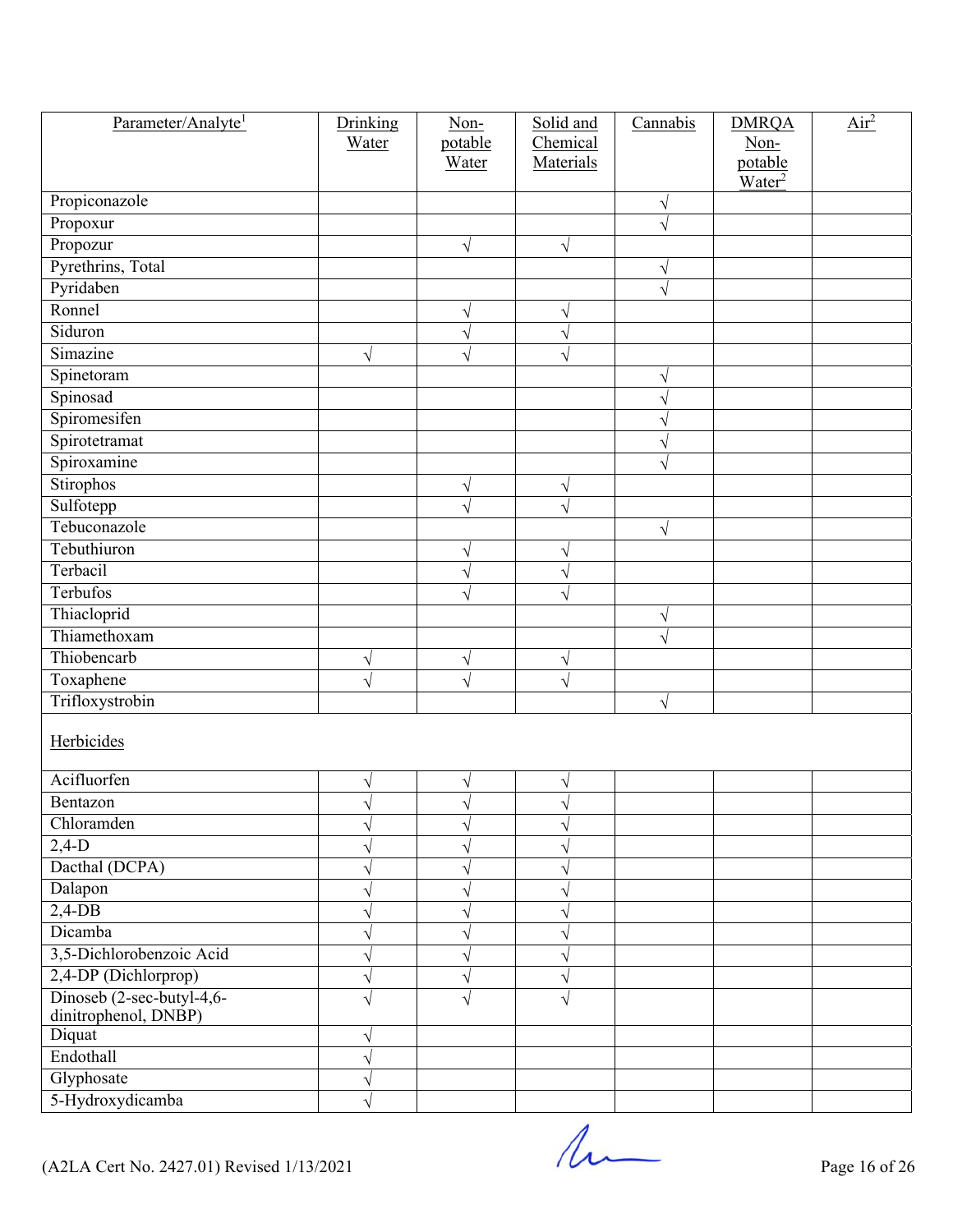| Parameter/Analyte <sup>1</sup>                    | Drinking  | Non-             | Solid and<br>Chemical | Cannabis  | <b>DMRQA</b>       | $\overline{\text{Air}^2}$ |
|---------------------------------------------------|-----------|------------------|-----------------------|-----------|--------------------|---------------------------|
|                                                   | Water     | potable<br>Water | Materials             |           | Non-<br>potable    |                           |
|                                                   |           |                  |                       |           | Water <sup>2</sup> |                           |
| Propiconazole                                     |           |                  |                       | V         |                    |                           |
| Propoxur                                          |           |                  |                       | $\sqrt{}$ |                    |                           |
| Propozur                                          |           | $\sqrt{}$        | $\sqrt{}$             |           |                    |                           |
| Pyrethrins, Total                                 |           |                  |                       | $\sqrt{}$ |                    |                           |
| Pyridaben                                         |           |                  |                       | $\sqrt{}$ |                    |                           |
| Ronnel                                            |           | V                |                       |           |                    |                           |
| Siduron                                           |           | $\sqrt{ }$       | V                     |           |                    |                           |
| Simazine                                          | $\sqrt{}$ | $\sqrt{}$        |                       |           |                    |                           |
| Spinetoram                                        |           |                  |                       | V         |                    |                           |
| Spinosad                                          |           |                  |                       | V         |                    |                           |
| Spiromesifen                                      |           |                  |                       | V         |                    |                           |
| Spirotetramat                                     |           |                  |                       |           |                    |                           |
| Spiroxamine                                       |           |                  |                       | $\sqrt{}$ |                    |                           |
| Stirophos                                         |           | $\sqrt{}$        | V                     |           |                    |                           |
| Sulfotepp                                         |           | V                |                       |           |                    |                           |
| Tebuconazole                                      |           |                  |                       | $\sqrt{}$ |                    |                           |
| Tebuthiuron                                       |           | $\sqrt{}$        | V                     |           |                    |                           |
| Terbacil                                          |           | $\sqrt{}$        |                       |           |                    |                           |
| Terbufos                                          |           | $\sqrt{}$        |                       |           |                    |                           |
| Thiacloprid                                       |           |                  |                       | $\sqrt{}$ |                    |                           |
| Thiamethoxam                                      |           |                  |                       | $\sqrt{}$ |                    |                           |
| Thiobencarb                                       | $\sqrt{}$ | $\sqrt{}$        | V                     |           |                    |                           |
| Toxaphene                                         | $\sqrt{}$ | $\sqrt{}$        |                       |           |                    |                           |
| Trifloxystrobin                                   |           |                  |                       | $\sqrt{}$ |                    |                           |
| Herbicides                                        |           |                  |                       |           |                    |                           |
| Acifluorfen                                       | $\sqrt{}$ | $\sqrt{}$        | V                     |           |                    |                           |
| Bentazon                                          | $\sqrt{}$ | $\sqrt{ }$       |                       |           |                    |                           |
| Chloramden                                        | V         | V                |                       |           |                    |                           |
| $2,4-D$                                           |           | V                |                       |           |                    |                           |
| Dacthal (DCPA)                                    |           | V                |                       |           |                    |                           |
| Dalapon                                           |           | V                |                       |           |                    |                           |
| $2,4$ -DB                                         |           | V                |                       |           |                    |                           |
| Dicamba                                           |           | V                |                       |           |                    |                           |
| 3,5-Dichlorobenzoic Acid                          |           | V                |                       |           |                    |                           |
| 2,4-DP (Dichlorprop)                              | V         | $\sqrt{}$        |                       |           |                    |                           |
| Dinoseb (2-sec-butyl-4,6-<br>dinitrophenol, DNBP) | V         | V                |                       |           |                    |                           |
| Diquat                                            | V         |                  |                       |           |                    |                           |
| Endothall                                         |           |                  |                       |           |                    |                           |
| Glyphosate                                        | V         |                  |                       |           |                    |                           |
| 5-Hydroxydicamba                                  | $\sqrt{}$ |                  |                       |           |                    |                           |

 $($ A2LA Cert No. 2427.01) Revised 1/13/2021 Page 16 of 26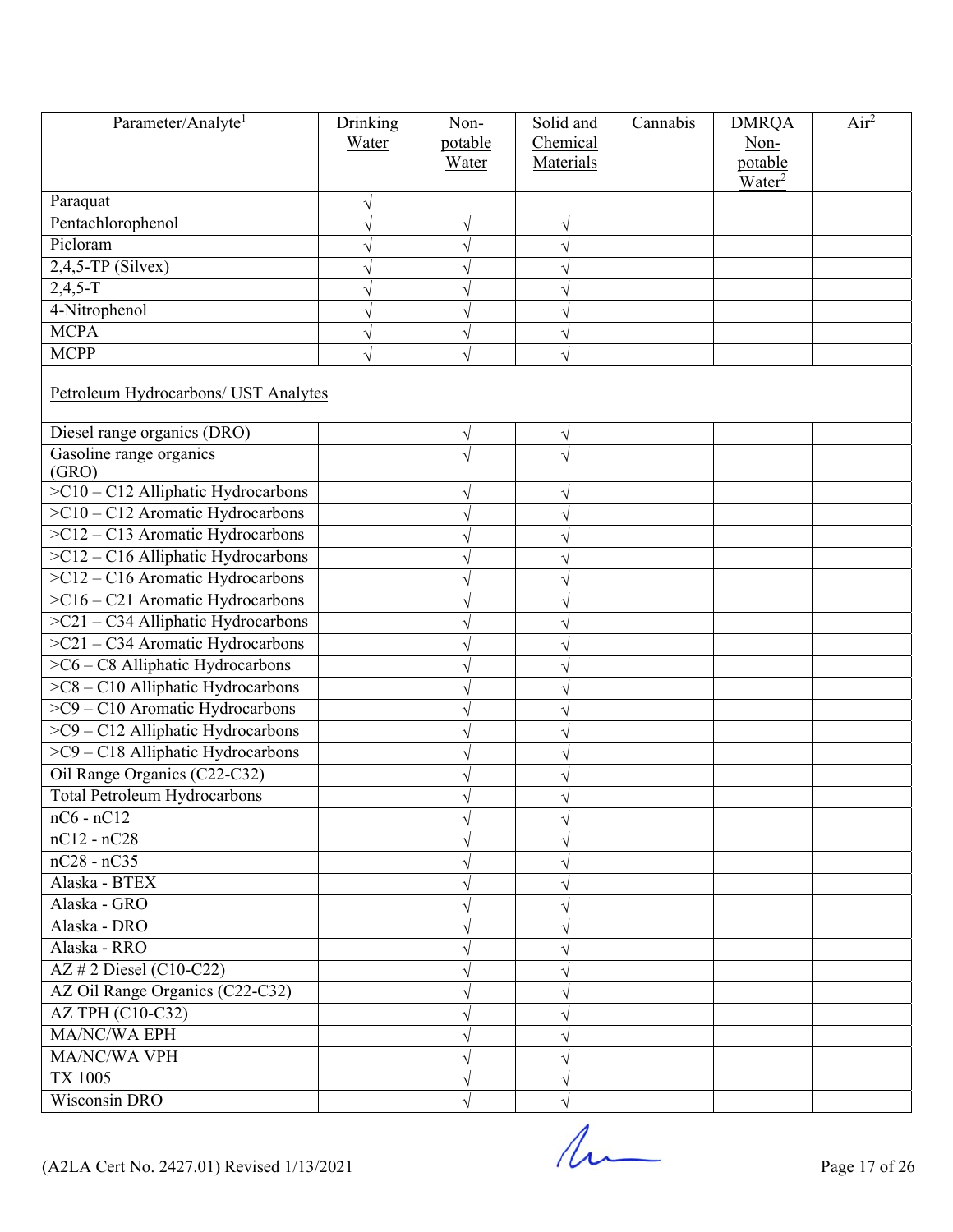| Parameter/Analyte <sup>1</sup>       | Drinking | Non-      | Solid and | Cannabis | <b>DMRQA</b>       | Air <sup>2</sup> |  |  |  |
|--------------------------------------|----------|-----------|-----------|----------|--------------------|------------------|--|--|--|
|                                      | Water    | potable   | Chemical  |          | Non-               |                  |  |  |  |
|                                      |          | Water     | Materials |          | potable            |                  |  |  |  |
| Paraquat                             |          |           |           |          | Water <sup>2</sup> |                  |  |  |  |
| Pentachlorophenol                    |          | V         |           |          |                    |                  |  |  |  |
| Picloram                             |          | $\sqrt{}$ |           |          |                    |                  |  |  |  |
| $2,4,5$ -TP (Silvex)                 |          | V         |           |          |                    |                  |  |  |  |
| $2,4,5-T$                            |          | V         |           |          |                    |                  |  |  |  |
| 4-Nitrophenol                        |          |           |           |          |                    |                  |  |  |  |
| <b>MCPA</b>                          |          | V         |           |          |                    |                  |  |  |  |
| <b>MCPP</b>                          |          | V         |           |          |                    |                  |  |  |  |
|                                      |          |           |           |          |                    |                  |  |  |  |
| Petroleum Hydrocarbons/ UST Analytes |          |           |           |          |                    |                  |  |  |  |
| Diesel range organics (DRO)          |          | $\sqrt{}$ | V         |          |                    |                  |  |  |  |
| Gasoline range organics<br>(GRO)     |          | V         |           |          |                    |                  |  |  |  |
| $>C10 - C12$ Alliphatic Hydrocarbons |          | V         |           |          |                    |                  |  |  |  |
| $>C10-C12$ Aromatic Hydrocarbons     |          | V         |           |          |                    |                  |  |  |  |
| $>C12 - C13$ Aromatic Hydrocarbons   |          |           |           |          |                    |                  |  |  |  |
| >C12 - C16 Alliphatic Hydrocarbons   |          |           |           |          |                    |                  |  |  |  |
| $>C12 - C16$ Aromatic Hydrocarbons   |          | V         |           |          |                    |                  |  |  |  |
| >C16 - C21 Aromatic Hydrocarbons     |          |           |           |          |                    |                  |  |  |  |
| >C21 - C34 Alliphatic Hydrocarbons   |          | V         |           |          |                    |                  |  |  |  |
| >C21 - C34 Aromatic Hydrocarbons     |          | V         |           |          |                    |                  |  |  |  |
| >C6 - C8 Alliphatic Hydrocarbons     |          |           |           |          |                    |                  |  |  |  |
| >C8 - C10 Alliphatic Hydrocarbons    |          |           |           |          |                    |                  |  |  |  |
| >C9 - C10 Aromatic Hydrocarbons      |          | V         |           |          |                    |                  |  |  |  |
| >C9 - C12 Alliphatic Hydrocarbons    |          | V         |           |          |                    |                  |  |  |  |
| >C9 - C18 Alliphatic Hydrocarbons    |          | V         |           |          |                    |                  |  |  |  |
| Oil Range Organics (C22-C32)         |          | V         |           |          |                    |                  |  |  |  |
| <b>Total Petroleum Hydrocarbons</b>  |          |           |           |          |                    |                  |  |  |  |
| $nC6 - nC12$                         |          |           |           |          |                    |                  |  |  |  |
| $nC12 - nC28$                        |          |           |           |          |                    |                  |  |  |  |
| $nC28 - nC35$                        |          |           |           |          |                    |                  |  |  |  |
| Alaska - BTEX                        |          |           |           |          |                    |                  |  |  |  |
| Alaska - GRO                         |          |           |           |          |                    |                  |  |  |  |
| Alaska - DRO                         |          |           |           |          |                    |                  |  |  |  |
| Alaska - RRO                         |          |           |           |          |                    |                  |  |  |  |
| AZ # 2 Diesel (C10-C22)              |          |           |           |          |                    |                  |  |  |  |
| AZ Oil Range Organics (C22-C32)      |          |           |           |          |                    |                  |  |  |  |
| <b>AZ TPH (C10-C32)</b>              |          |           |           |          |                    |                  |  |  |  |
| MA/NC/WA EPH                         |          |           |           |          |                    |                  |  |  |  |
| MA/NC/WA VPH                         |          |           |           |          |                    |                  |  |  |  |
| <b>TX 1005</b>                       |          |           |           |          |                    |                  |  |  |  |
| <b>Wisconsin DRO</b>                 |          |           |           |          |                    |                  |  |  |  |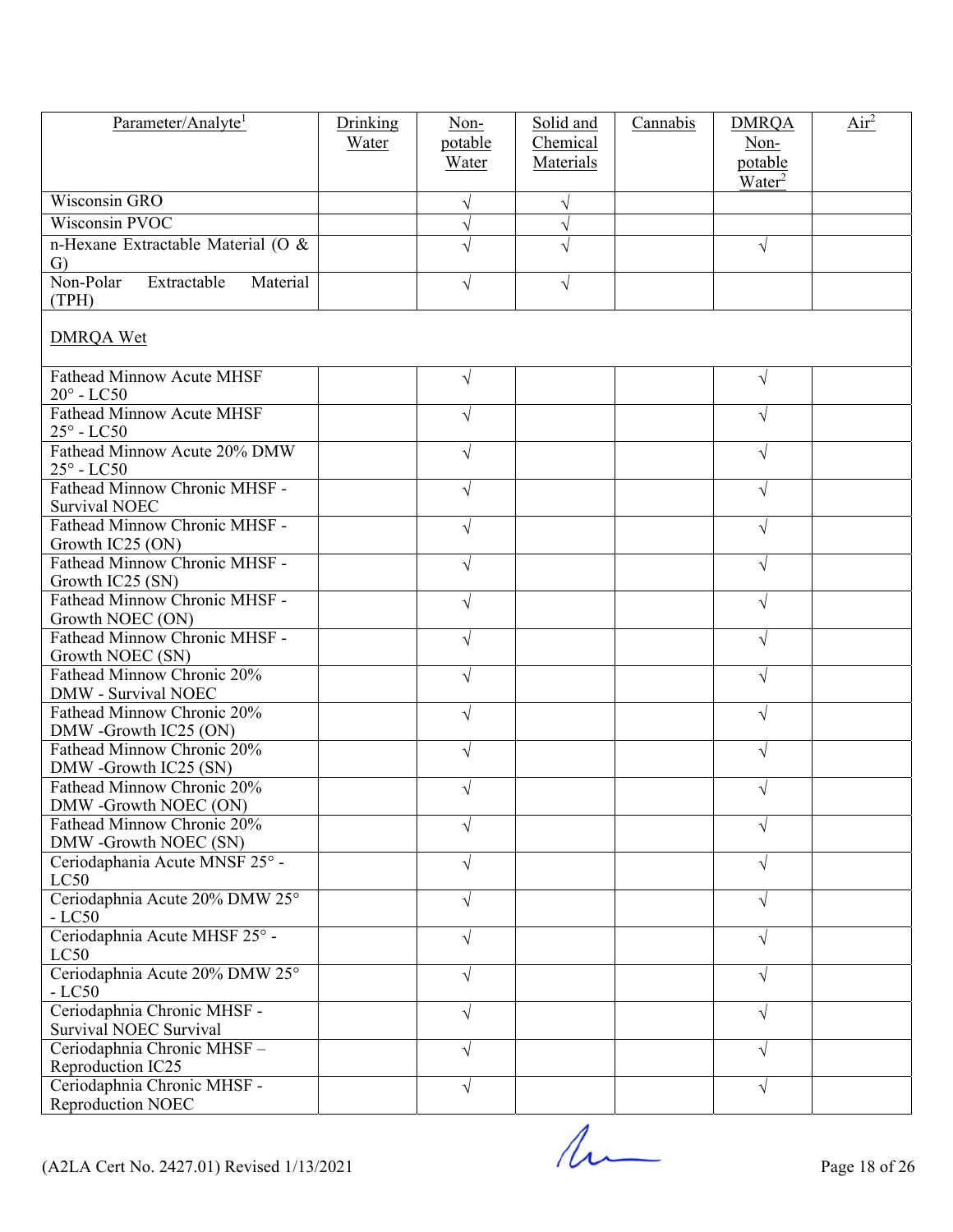| Parameter/Analyte <sup>1</sup>                           | Drinking | $Non-$     | Solid and  | Cannabis | <b>DMRQA</b>                  | $\overline{\text{Air}^2}$ |
|----------------------------------------------------------|----------|------------|------------|----------|-------------------------------|---------------------------|
|                                                          | Water    | potable    | Chemical   |          | Non-                          |                           |
|                                                          |          | Water      | Materials  |          | potable<br>Water <sup>2</sup> |                           |
| Wisconsin GRO                                            |          | V          |            |          |                               |                           |
| Wisconsin PVOC                                           |          | $\sqrt{ }$ | N          |          |                               |                           |
| n-Hexane Extractable Material (O &                       |          | V          |            |          | $\sqrt{}$                     |                           |
| G)                                                       |          |            |            |          |                               |                           |
| Non-Polar<br>Extractable<br>Material<br>(TPH)            |          | $\sqrt{}$  | $\sqrt{ }$ |          |                               |                           |
| <b>DMRQA Wet</b>                                         |          |            |            |          |                               |                           |
| <b>Fathead Minnow Acute MHSF</b><br>$20^\circ$ - LC50    |          | $\sqrt{ }$ |            |          | V                             |                           |
| <b>Fathead Minnow Acute MHSF</b><br>$25^\circ$ - LC50    |          | V          |            |          | V                             |                           |
| Fathead Minnow Acute 20% DMW<br>$25^\circ$ - LC50        |          | $\sqrt{}$  |            |          | √                             |                           |
| Fathead Minnow Chronic MHSF -<br><b>Survival NOEC</b>    |          | $\sqrt{}$  |            |          | V                             |                           |
| Fathead Minnow Chronic MHSF -<br>Growth IC25 (ON)        |          | V          |            |          | √                             |                           |
| Fathead Minnow Chronic MHSF -<br>Growth IC25 (SN)        |          | $\sqrt{}$  |            |          | V                             |                           |
| Fathead Minnow Chronic MHSF -<br>Growth NOEC (ON)        |          | $\sqrt{}$  |            |          | √                             |                           |
| Fathead Minnow Chronic MHSF -<br>Growth NOEC (SN)        |          | $\sqrt{}$  |            |          | √                             |                           |
| Fathead Minnow Chronic 20%<br><b>DMW</b> - Survival NOEC |          | $\sqrt{}$  |            |          | V                             |                           |
| Fathead Minnow Chronic 20%<br>DMW -Growth IC25 (ON)      |          | $\sqrt{}$  |            |          | V                             |                           |
| Fathead Minnow Chronic 20%<br>DMW -Growth IC25 (SN)      |          | V          |            |          | J                             |                           |
| Fathead Minnow Chronic 20%<br>DMW -Growth NOEC (ON)      |          |            |            |          |                               |                           |
| Fathead Minnow Chronic 20%<br>DMW -Growth NOEC (SN)      |          | V          |            |          |                               |                           |
| Ceriodaphania Acute MNSF 25° -<br>LC50                   |          | V          |            |          |                               |                           |
| Ceriodaphnia Acute 20% DMW 25°<br>$-LC50$                |          | $\sqrt{}$  |            |          | V                             |                           |
| Ceriodaphnia Acute MHSF 25° -<br>LC50                    |          | V          |            |          | V                             |                           |
| Ceriodaphnia Acute 20% DMW 25°<br>$-LC50$                |          | $\sqrt{}$  |            |          | V                             |                           |
| Ceriodaphnia Chronic MHSF -<br>Survival NOEC Survival    |          | $\sqrt{}$  |            |          | V                             |                           |
| Ceriodaphnia Chronic MHSF-<br>Reproduction IC25          |          | V          |            |          | V                             |                           |
| Ceriodaphnia Chronic MHSF -<br>Reproduction NOEC         |          | $\sqrt{}$  |            |          | $\sqrt{}$                     |                           |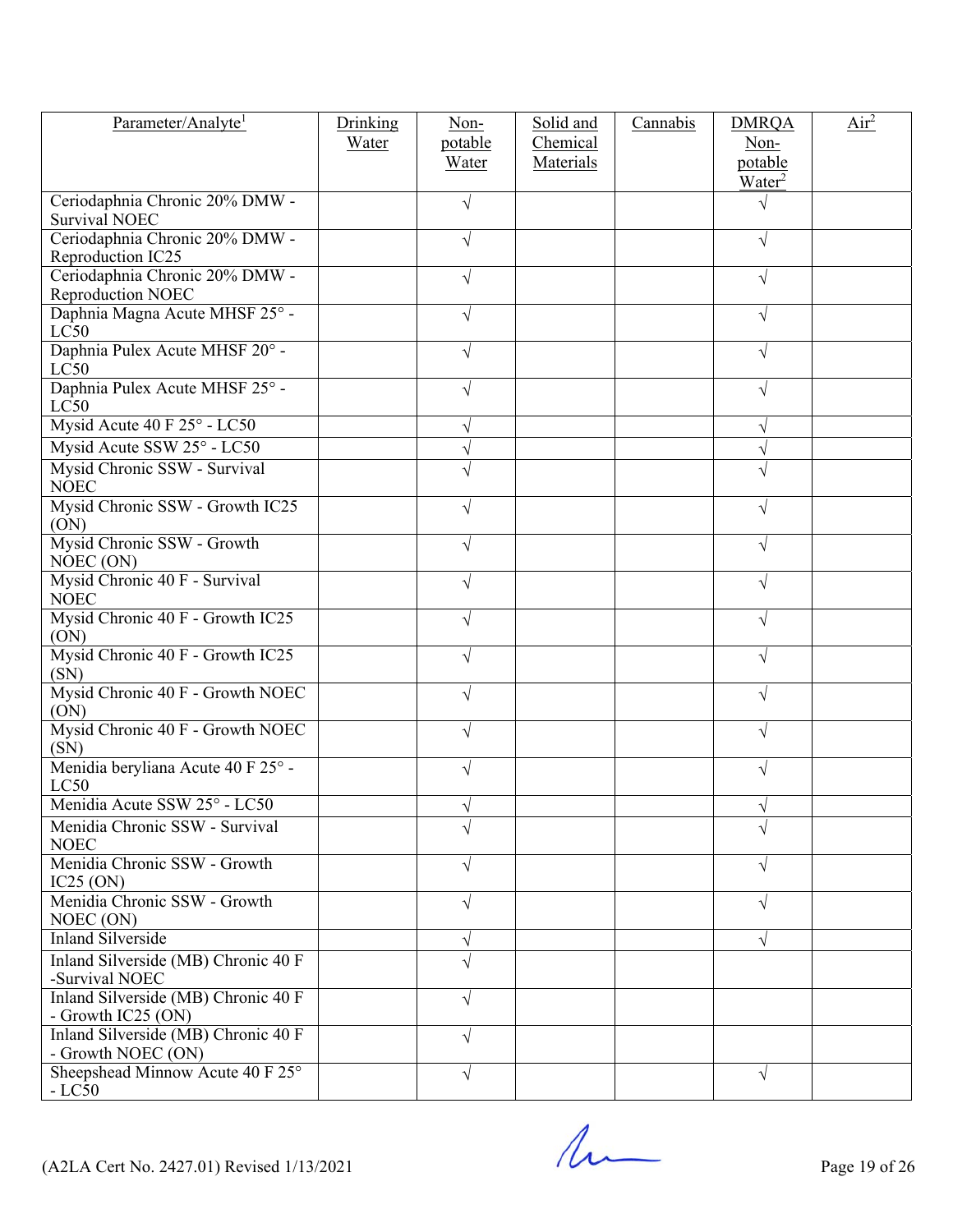| Parameter/Analyte <sup>1</sup>                            | Drinking<br>Water | $Non-$<br>potable<br>Water | Solid and<br>Chemical<br>Materials | Cannabis | <b>DMRQA</b><br>Non-<br>potable | $\overline{Air}^2$ |
|-----------------------------------------------------------|-------------------|----------------------------|------------------------------------|----------|---------------------------------|--------------------|
| Ceriodaphnia Chronic 20% DMW -<br>Survival NOEC           |                   | $\sqrt{}$                  |                                    |          | Water <sup>2</sup>              |                    |
| Ceriodaphnia Chronic 20% DMW -<br>Reproduction IC25       |                   | $\sqrt{}$                  |                                    |          | V                               |                    |
| Ceriodaphnia Chronic 20% DMW -<br>Reproduction NOEC       |                   | V                          |                                    |          |                                 |                    |
| Daphnia Magna Acute MHSF 25° -<br>LC50                    |                   | $\sqrt{}$                  |                                    |          | V                               |                    |
| Daphnia Pulex Acute MHSF 20° -<br>LC50                    |                   | $\sqrt{}$                  |                                    |          | V                               |                    |
| Daphnia Pulex Acute MHSF 25° -<br>LC50                    |                   | V                          |                                    |          |                                 |                    |
| Mysid Acute 40 F 25° - LC50                               |                   | V                          |                                    |          |                                 |                    |
| Mysid Acute SSW 25° - LC50                                |                   | $\sqrt{}$                  |                                    |          |                                 |                    |
| Mysid Chronic SSW - Survival<br><b>NOEC</b>               |                   | V                          |                                    |          |                                 |                    |
| Mysid Chronic SSW - Growth IC25<br>(ON)                   |                   | V                          |                                    |          |                                 |                    |
| Mysid Chronic SSW - Growth<br>NOEC (ON)                   |                   | $\sqrt{}$                  |                                    |          |                                 |                    |
| Mysid Chronic 40 F - Survival<br><b>NOEC</b>              |                   | $\sqrt{}$                  |                                    |          |                                 |                    |
| Mysid Chronic 40 F - Growth IC25<br>(ON)                  |                   | V                          |                                    |          |                                 |                    |
| Mysid Chronic 40 F - Growth IC25<br>(SN)                  |                   | V                          |                                    |          |                                 |                    |
| Mysid Chronic 40 F - Growth NOEC<br>(ON)                  |                   | V                          |                                    |          |                                 |                    |
| Mysid Chronic 40 F - Growth NOEC<br>(SN)                  |                   | V                          |                                    |          |                                 |                    |
| Menidia beryliana Acute 40 F 25° -<br>LC50                |                   | V                          |                                    |          |                                 |                    |
| Menidia Acute SSW 25° - LC50                              |                   |                            |                                    |          |                                 |                    |
| Menidia Chronic SSW - Survival<br><b>NOEC</b>             |                   |                            |                                    |          |                                 |                    |
| Menidia Chronic SSW - Growth<br>IC25 (ON)                 |                   | V                          |                                    |          |                                 |                    |
| Menidia Chronic SSW - Growth<br>NOEC (ON)                 |                   | V                          |                                    |          |                                 |                    |
| <b>Inland Silverside</b>                                  |                   | V                          |                                    |          |                                 |                    |
| Inland Silverside (MB) Chronic 40 F<br>-Survival NOEC     |                   | $\sqrt{}$                  |                                    |          |                                 |                    |
| Inland Silverside (MB) Chronic 40 F<br>- Growth IC25 (ON) |                   | $\sqrt{}$                  |                                    |          |                                 |                    |
| Inland Silverside (MB) Chronic 40 F<br>- Growth NOEC (ON) |                   | $\sqrt{}$                  |                                    |          |                                 |                    |
| Sheepshead Minnow Acute 40 F 25°<br>$-LC50$               |                   | $\sqrt{}$                  |                                    |          | V                               |                    |

 $($ A2LA Cert No. 2427.01) Revised  $1/13/2021$  Page 19 of 26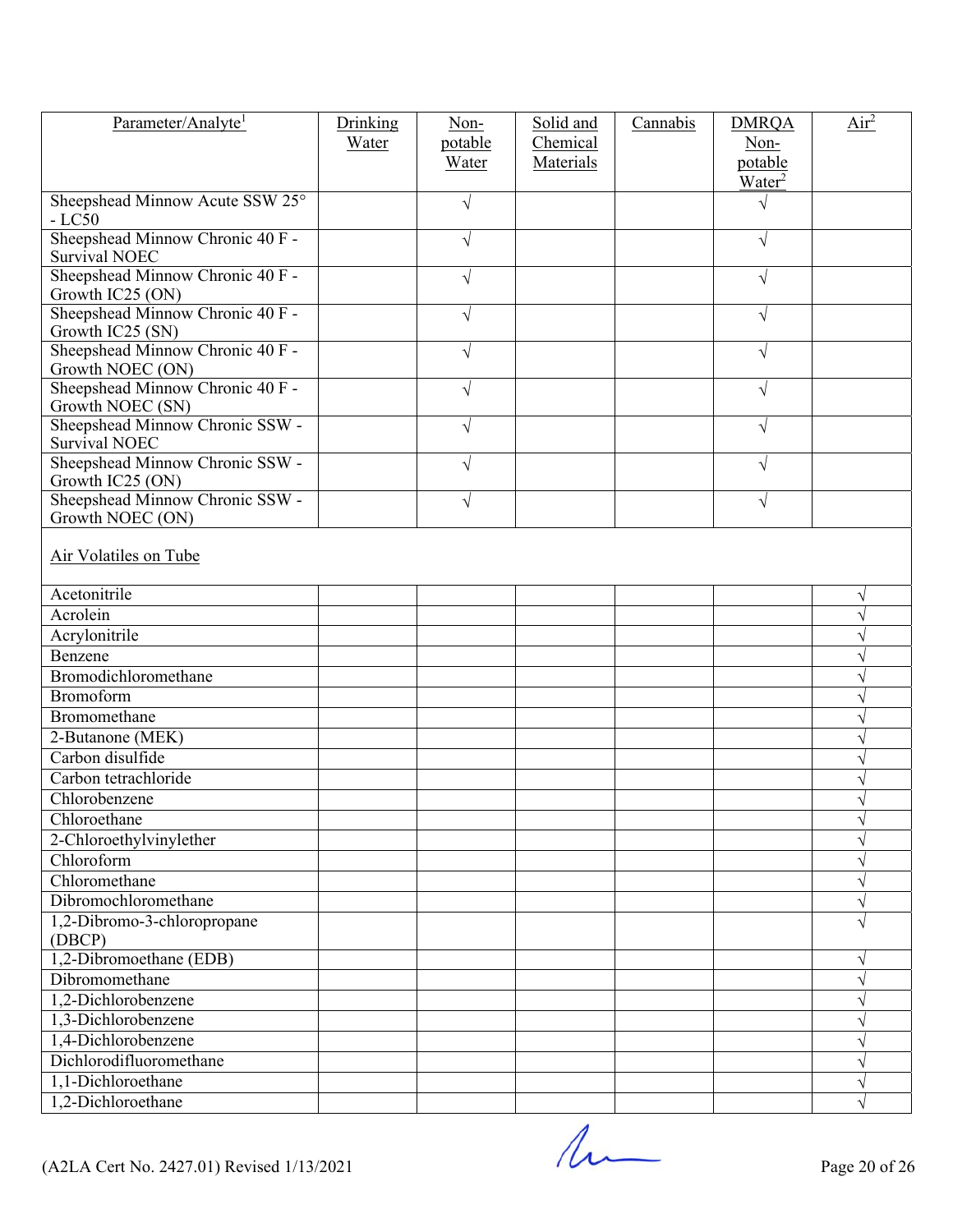| Parameter/Analyte <sup>1</sup>                       | Drinking | Non-       | Solid and | Cannabis | <b>DMRQA</b>            | Air <sup>2</sup> |
|------------------------------------------------------|----------|------------|-----------|----------|-------------------------|------------------|
|                                                      | Water    | potable    | Chemical  |          | Non-                    |                  |
|                                                      |          | Water      | Materials |          | potable                 |                  |
| Sheepshead Minnow Acute SSW 25°<br>$-LC50$           |          | $\sqrt{}$  |           |          | Water <sup>2</sup><br>V |                  |
| Sheepshead Minnow Chronic 40 F -                     |          | $\sqrt{}$  |           |          | V                       |                  |
| <b>Survival NOEC</b>                                 |          |            |           |          |                         |                  |
| Sheepshead Minnow Chronic 40 F -<br>Growth IC25 (ON) |          | $\sqrt{ }$ |           |          | $\sqrt{}$               |                  |
| Sheepshead Minnow Chronic 40 F -<br>Growth IC25 (SN) |          | $\sqrt{ }$ |           |          | $\sqrt{}$               |                  |
| Sheepshead Minnow Chronic 40 F -<br>Growth NOEC (ON) |          | $\sqrt{ }$ |           |          | $\sqrt{}$               |                  |
| Sheepshead Minnow Chronic 40 F -<br>Growth NOEC (SN) |          | $\sqrt{}$  |           |          | V                       |                  |
| Sheepshead Minnow Chronic SSW -<br>Survival NOEC     |          | $\sqrt{ }$ |           |          | $\sqrt{}$               |                  |
| Sheepshead Minnow Chronic SSW -<br>Growth IC25 (ON)  |          | $\sqrt{ }$ |           |          | $\sqrt{}$               |                  |
| Sheepshead Minnow Chronic SSW -                      |          | $\sqrt{ }$ |           |          | $\sqrt{}$               |                  |
| Growth NOEC (ON)                                     |          |            |           |          |                         |                  |
| Air Volatiles on Tube                                |          |            |           |          |                         |                  |
| Acetonitrile                                         |          |            |           |          |                         | V                |
| Acrolein                                             |          |            |           |          |                         | V                |
| Acrylonitrile                                        |          |            |           |          |                         | V                |
| Benzene                                              |          |            |           |          |                         |                  |
| Bromodichloromethane                                 |          |            |           |          |                         |                  |
| Bromoform                                            |          |            |           |          |                         | V                |
| Bromomethane                                         |          |            |           |          |                         | V                |
| 2-Butanone (MEK)                                     |          |            |           |          |                         | V                |
| Carbon disulfide                                     |          |            |           |          |                         |                  |
| Carbon tetrachloride                                 |          |            |           |          |                         |                  |
| Chlorobenzene                                        |          |            |           |          |                         |                  |
| Chloroethane                                         |          |            |           |          |                         | $\sqrt{}$        |
| 2-Chloroethylvinylether                              |          |            |           |          |                         | V                |
| Chloroform                                           |          |            |           |          |                         | V                |
| Chloromethane                                        |          |            |           |          |                         | $\sqrt{}$        |
| Dibromochloromethane                                 |          |            |           |          |                         | $\sqrt{}$        |
| 1,2-Dibromo-3-chloropropane                          |          |            |           |          |                         | $\sqrt{}$        |
| (DBCP)                                               |          |            |           |          |                         |                  |
| 1,2-Dibromoethane (EDB)                              |          |            |           |          |                         | V                |
| Dibromomethane                                       |          |            |           |          |                         | V                |
| 1,2-Dichlorobenzene                                  |          |            |           |          |                         | V                |
| 1,3-Dichlorobenzene                                  |          |            |           |          |                         | $\sqrt{}$        |
| 1,4-Dichlorobenzene                                  |          |            |           |          |                         | V                |
| Dichlorodifluoromethane                              |          |            |           |          |                         | $\sqrt{}$        |
| 1,1-Dichloroethane                                   |          |            |           |          |                         | V                |
| 1,2-Dichloroethane                                   |          |            |           |          |                         | $\sqrt{}$        |

 $($ A2LA Cert No. 2427.01) Revised 1/13/2021 Page 20 of 26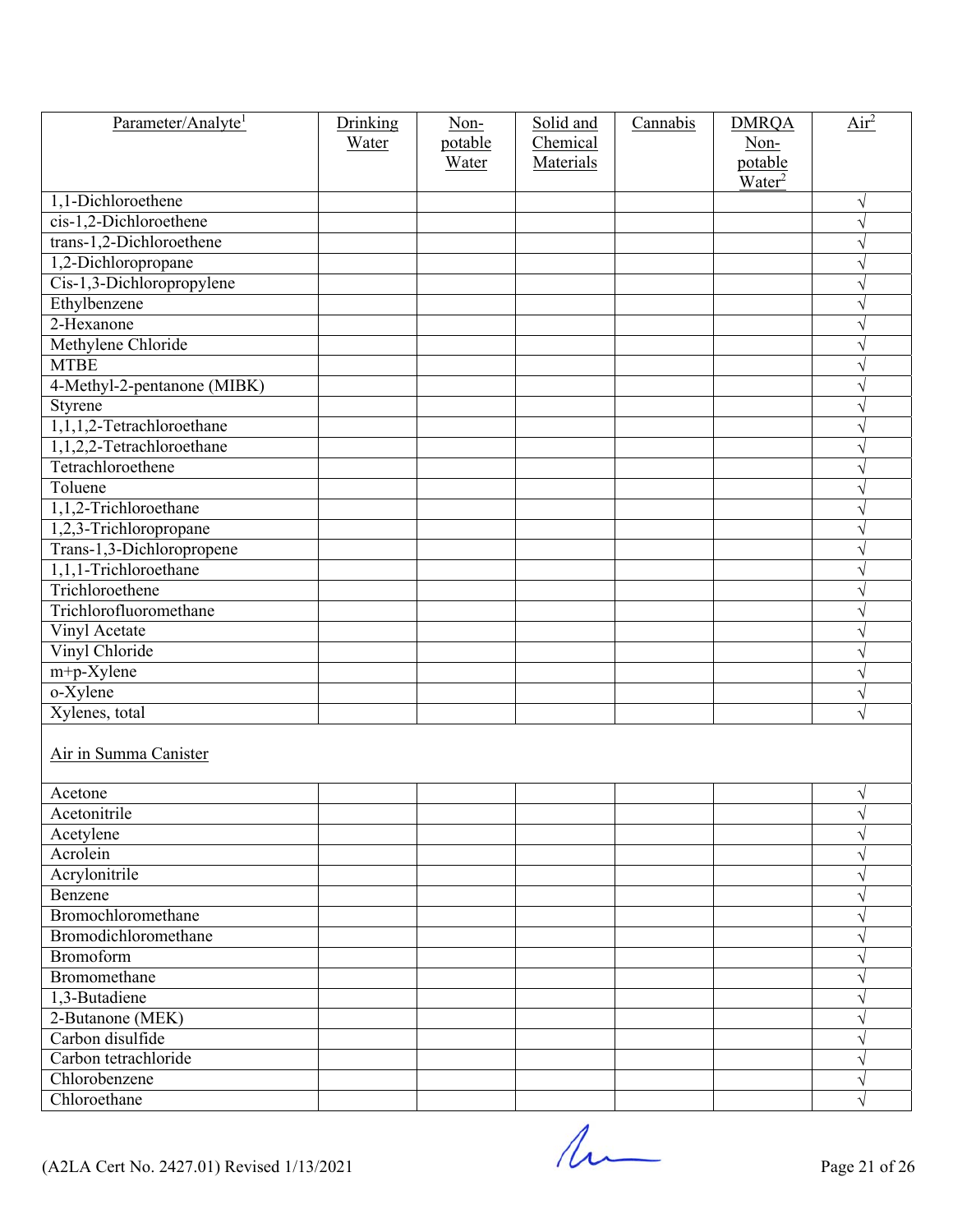| Parameter/Analyte <sup>1</sup> | Drinking<br>Water | Non-<br>potable<br>Water | Solid and<br>Chemical<br>Materials | Cannabis | <b>DMRQA</b><br>Non-<br>potable<br>Water <sup>2</sup> | Air <sup>2</sup> |
|--------------------------------|-------------------|--------------------------|------------------------------------|----------|-------------------------------------------------------|------------------|
| 1,1-Dichloroethene             |                   |                          |                                    |          |                                                       | $\sqrt{}$        |
| cis-1,2-Dichloroethene         |                   |                          |                                    |          |                                                       | $\sqrt{}$        |
| trans-1,2-Dichloroethene       |                   |                          |                                    |          |                                                       | $\sqrt{}$        |
| 1,2-Dichloropropane            |                   |                          |                                    |          |                                                       | $\sqrt{}$        |
| Cis-1,3-Dichloropropylene      |                   |                          |                                    |          |                                                       | $\sqrt{}$        |
| Ethylbenzene                   |                   |                          |                                    |          |                                                       | $\sqrt{}$        |
| 2-Hexanone                     |                   |                          |                                    |          |                                                       | $\sqrt{}$        |
| Methylene Chloride             |                   |                          |                                    |          |                                                       | V                |
| <b>MTBE</b>                    |                   |                          |                                    |          |                                                       | $\sqrt{}$        |
| 4-Methyl-2-pentanone (MIBK)    |                   |                          |                                    |          |                                                       | $\sqrt{}$        |
| Styrene                        |                   |                          |                                    |          |                                                       | $\sqrt{}$        |
| 1,1,1,2-Tetrachloroethane      |                   |                          |                                    |          |                                                       | V                |
| 1,1,2,2-Tetrachloroethane      |                   |                          |                                    |          |                                                       | V                |
| Tetrachloroethene              |                   |                          |                                    |          |                                                       | $\sqrt{}$        |
| Toluene                        |                   |                          |                                    |          |                                                       | $\sqrt{}$        |
| 1,1,2-Trichloroethane          |                   |                          |                                    |          |                                                       | $\sqrt{}$        |
| 1,2,3-Trichloropropane         |                   |                          |                                    |          |                                                       | V                |
| Trans-1,3-Dichloropropene      |                   |                          |                                    |          |                                                       | V                |
| 1,1,1-Trichloroethane          |                   |                          |                                    |          |                                                       | V                |
| Trichloroethene                |                   |                          |                                    |          |                                                       | V                |
| Trichlorofluoromethane         |                   |                          |                                    |          |                                                       | $\sqrt{}$        |
| Vinyl Acetate                  |                   |                          |                                    |          |                                                       | $\sqrt{}$        |
| Vinyl Chloride                 |                   |                          |                                    |          |                                                       | V                |
| $m+p$ -Xylene                  |                   |                          |                                    |          |                                                       | $\sqrt{}$        |
| o-Xylene                       |                   |                          |                                    |          |                                                       | $\sqrt{}$        |
| Xylenes, total                 |                   |                          |                                    |          |                                                       | $\sqrt{}$        |
| Air in Summa Canister          |                   |                          |                                    |          |                                                       |                  |
| Acetone                        |                   |                          |                                    |          |                                                       | V                |
| Acetonitrile                   |                   |                          |                                    |          |                                                       | V                |
| Acetylene                      |                   |                          |                                    |          |                                                       | $\sqrt{}$        |
| Acrolein                       |                   |                          |                                    |          |                                                       | $\sqrt{}$        |
| Acrylonitrile                  |                   |                          |                                    |          |                                                       | V                |
| Benzene                        |                   |                          |                                    |          |                                                       | V                |
| Bromochloromethane             |                   |                          |                                    |          |                                                       | $\sqrt{}$        |
| Bromodichloromethane           |                   |                          |                                    |          |                                                       | $\sqrt{}$        |
| <b>Bromoform</b>               |                   |                          |                                    |          |                                                       | $\sqrt{}$        |
| Bromomethane                   |                   |                          |                                    |          |                                                       | V                |
| 1,3-Butadiene                  |                   |                          |                                    |          |                                                       | V                |
| 2-Butanone (MEK)               |                   |                          |                                    |          |                                                       | $\sqrt{}$        |
| Carbon disulfide               |                   |                          |                                    |          |                                                       | $\sqrt{}$        |
| Carbon tetrachloride           |                   |                          |                                    |          |                                                       | $\sqrt{}$        |
| Chlorobenzene                  |                   |                          |                                    |          |                                                       | V                |
| Chloroethane                   |                   |                          |                                    |          |                                                       | $\sqrt{}$        |

 $($ A2LA Cert No. 2427.01) Revised 1/13/2021 Page 21 of 26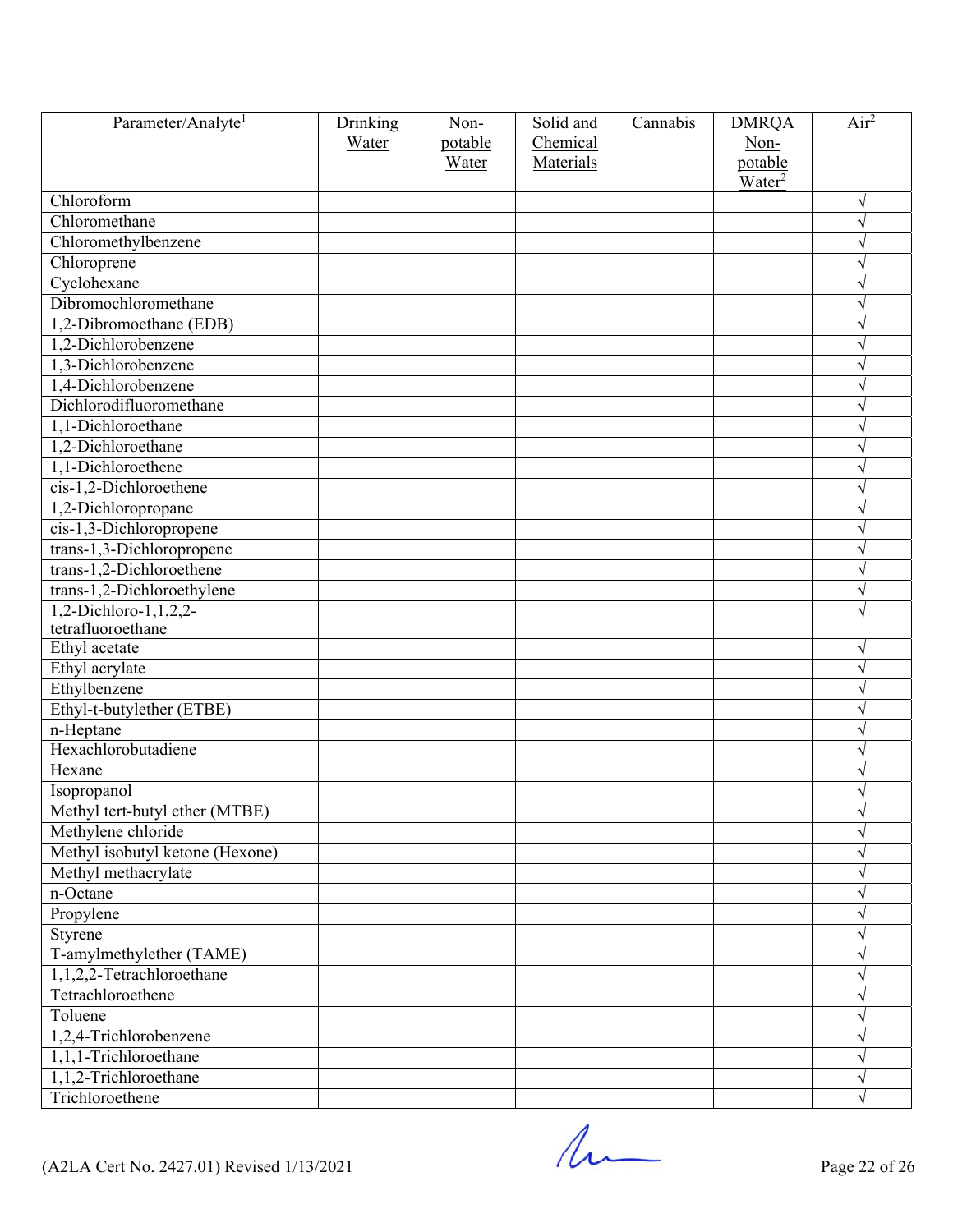| Parameter/Analyte <sup>1</sup>  | Drinking | Non-    | Solid and | Cannabis | <b>DMRQA</b>                  | Air <sup>2</sup> |
|---------------------------------|----------|---------|-----------|----------|-------------------------------|------------------|
|                                 | Water    | potable | Chemical  |          | Non-                          |                  |
|                                 |          | Water   | Materials |          | potable<br>Water <sup>2</sup> |                  |
| Chloroform                      |          |         |           |          |                               | $\sqrt{ }$       |
| Chloromethane                   |          |         |           |          |                               | $\sqrt{}$        |
| Chloromethylbenzene             |          |         |           |          |                               | V                |
| Chloroprene                     |          |         |           |          |                               | V                |
| Cyclohexane                     |          |         |           |          |                               | $\sqrt{}$        |
| Dibromochloromethane            |          |         |           |          |                               | $\sqrt{}$        |
| 1,2-Dibromoethane (EDB)         |          |         |           |          |                               | $\sqrt{}$        |
| 1,2-Dichlorobenzene             |          |         |           |          |                               | V                |
| 1,3-Dichlorobenzene             |          |         |           |          |                               | V                |
| 1,4-Dichlorobenzene             |          |         |           |          |                               |                  |
| Dichlorodifluoromethane         |          |         |           |          |                               | V                |
| 1,1-Dichloroethane              |          |         |           |          |                               | V                |
| 1,2-Dichloroethane              |          |         |           |          |                               | V                |
| 1,1-Dichloroethene              |          |         |           |          |                               | V                |
| cis-1,2-Dichloroethene          |          |         |           |          |                               | V                |
| 1,2-Dichloropropane             |          |         |           |          |                               | V                |
| cis-1,3-Dichloropropene         |          |         |           |          |                               | $\sqrt{}$        |
| trans-1,3-Dichloropropene       |          |         |           |          |                               | $\sqrt{}$        |
| $trans-1,2-Dichloroethene$      |          |         |           |          |                               | $\sqrt{}$        |
| trans-1,2-Dichloroethylene      |          |         |           |          |                               | $\sqrt{}$        |
| 1,2-Dichloro-1,1,2,2-           |          |         |           |          |                               | $\sqrt{}$        |
| tetrafluoroethane               |          |         |           |          |                               |                  |
| Ethyl acetate                   |          |         |           |          |                               | $\sqrt{}$        |
| Ethyl acrylate                  |          |         |           |          |                               | $\sqrt{ }$       |
| Ethylbenzene                    |          |         |           |          |                               | $\sqrt{}$        |
| Ethyl-t-butylether (ETBE)       |          |         |           |          |                               | $\sqrt{}$        |
| n-Heptane                       |          |         |           |          |                               | V                |
| Hexachlorobutadiene             |          |         |           |          |                               | $\sqrt{}$        |
| Hexane                          |          |         |           |          |                               | V                |
| Isopropanol                     |          |         |           |          |                               |                  |
| Methyl tert-butyl ether (MTBE)  |          |         |           |          |                               | V                |
| Methylene chloride              |          |         |           |          |                               | V                |
| Methyl isobutyl ketone (Hexone) |          |         |           |          |                               | $\sqrt{}$        |
| Methyl methacrylate             |          |         |           |          |                               | $\sqrt{}$        |
| n-Octane                        |          |         |           |          |                               | $\sqrt{}$        |
| Propylene                       |          |         |           |          |                               | V                |
| Styrene                         |          |         |           |          |                               | V                |
| T-amylmethylether (TAME)        |          |         |           |          |                               | $\sqrt{}$        |
| 1,1,2,2-Tetrachloroethane       |          |         |           |          |                               | $\sqrt{}$        |
| Tetrachloroethene               |          |         |           |          |                               | $\sqrt{}$        |
| Toluene                         |          |         |           |          |                               | $\sqrt{}$        |
| 1,2,4-Trichlorobenzene          |          |         |           |          |                               | V                |
| 1,1,1-Trichloroethane           |          |         |           |          |                               | $\sqrt{}$        |
| 1,1,2-Trichloroethane           |          |         |           |          |                               | $\sqrt{}$        |
| Trichloroethene                 |          |         |           |          |                               |                  |

 $($ A2LA Cert No. 2427.01) Revised 1/13/2021 Page 22 of 26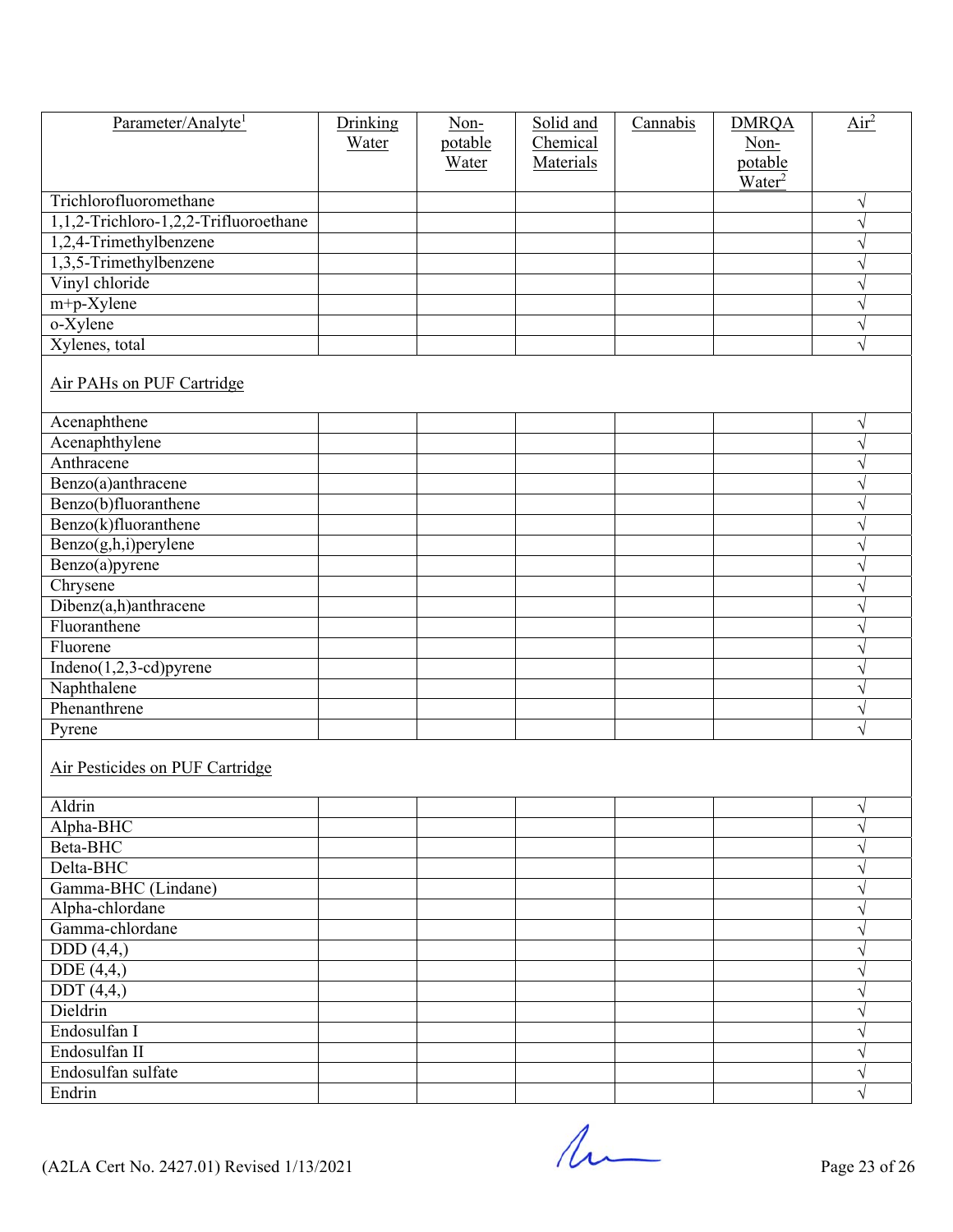| Parameter/Analyte <sup>1</sup>        | Drinking<br>Water | $Non-$<br>potable<br>Water | Solid and<br>Chemical<br>Materials | Cannabis | <b>DMRQA</b><br>Non-<br>potable<br>Water <sup>2</sup> | $\overline{Air}^2$ |
|---------------------------------------|-------------------|----------------------------|------------------------------------|----------|-------------------------------------------------------|--------------------|
| Trichlorofluoromethane                |                   |                            |                                    |          |                                                       | $\sqrt{}$          |
| 1,1,2-Trichloro-1,2,2-Trifluoroethane |                   |                            |                                    |          |                                                       | $\sqrt{}$          |
| 1,2,4-Trimethylbenzene                |                   |                            |                                    |          |                                                       | $\sqrt{}$          |
| 1,3,5-Trimethylbenzene                |                   |                            |                                    |          |                                                       | $\sqrt{}$          |
| Vinyl chloride                        |                   |                            |                                    |          |                                                       | $\sqrt{}$          |
| $m+p$ -Xylene                         |                   |                            |                                    |          |                                                       | $\sqrt{}$          |
| o-Xylene                              |                   |                            |                                    |          |                                                       | $\sqrt{}$          |
| Xylenes, total                        |                   |                            |                                    |          |                                                       | $\sqrt{}$          |
| Air PAHs on PUF Cartridge             |                   |                            |                                    |          |                                                       |                    |
| Acenaphthene                          |                   |                            |                                    |          |                                                       | $\sqrt{}$          |
| Acenaphthylene                        |                   |                            |                                    |          |                                                       | $\sqrt{}$          |
| Anthracene                            |                   |                            |                                    |          |                                                       | $\sqrt{}$          |
| Benzo(a)anthracene                    |                   |                            |                                    |          |                                                       | $\sqrt{}$          |
| Benzo(b)fluoranthene                  |                   |                            |                                    |          |                                                       | $\sqrt{}$          |
| Benzo(k)fluoranthene                  |                   |                            |                                    |          |                                                       | $\sqrt{}$          |
| Benzo(g,h,i)perylene                  |                   |                            |                                    |          |                                                       | $\sqrt{}$          |
| Benzo(a)pyrene                        |                   |                            |                                    |          |                                                       | $\sqrt{}$          |
| Chrysene                              |                   |                            |                                    |          |                                                       | V                  |
| Dibenz(a,h)anthracene                 |                   |                            |                                    |          |                                                       | V                  |
| Fluoranthene                          |                   |                            |                                    |          |                                                       | $\sqrt{}$          |
| Fluorene                              |                   |                            |                                    |          |                                                       | $\sqrt{}$          |
| $Indeno(1,2,3-cd)pyrene$              |                   |                            |                                    |          |                                                       | V                  |
| Naphthalene                           |                   |                            |                                    |          |                                                       | $\sqrt{}$          |
| Phenanthrene                          |                   |                            |                                    |          |                                                       | $\sqrt{}$          |
| Pyrene                                |                   |                            |                                    |          |                                                       | V                  |
| Air Pesticides on PUF Cartridge       |                   |                            |                                    |          |                                                       |                    |
| Aldrin                                |                   |                            |                                    |          |                                                       | $\sqrt{}$          |
| Alpha-BHC                             |                   |                            |                                    |          |                                                       | $\sqrt{}$          |
| Beta-BHC                              |                   |                            |                                    |          |                                                       | V                  |
| Delta-BHC                             |                   |                            |                                    |          |                                                       | $\sqrt{}$          |
| Gamma-BHC (Lindane)                   |                   |                            |                                    |          |                                                       | $\sqrt{}$          |
| Alpha-chlordane                       |                   |                            |                                    |          |                                                       | $\sqrt{}$          |
| Gamma-chlordane                       |                   |                            |                                    |          |                                                       | $\sqrt{}$          |
| DDD(4,4)                              |                   |                            |                                    |          |                                                       | $\sqrt{ }$         |
| DDE $(4,4)$                           |                   |                            |                                    |          |                                                       | V                  |
| $\overline{DDT(4,4,)}$                |                   |                            |                                    |          |                                                       | $\sqrt{}$          |
| Dieldrin                              |                   |                            |                                    |          |                                                       | $\sqrt{}$          |
| Endosulfan I                          |                   |                            |                                    |          |                                                       | $\sqrt{}$          |
| Endosulfan II                         |                   |                            |                                    |          |                                                       | $\sqrt{}$          |
| Endosulfan sulfate                    |                   |                            |                                    |          |                                                       | V                  |
| Endrin                                |                   |                            |                                    |          |                                                       |                    |

 $(42LA$  Cert No. 2427.01) Revised  $1/13/2021$  Page 23 of 26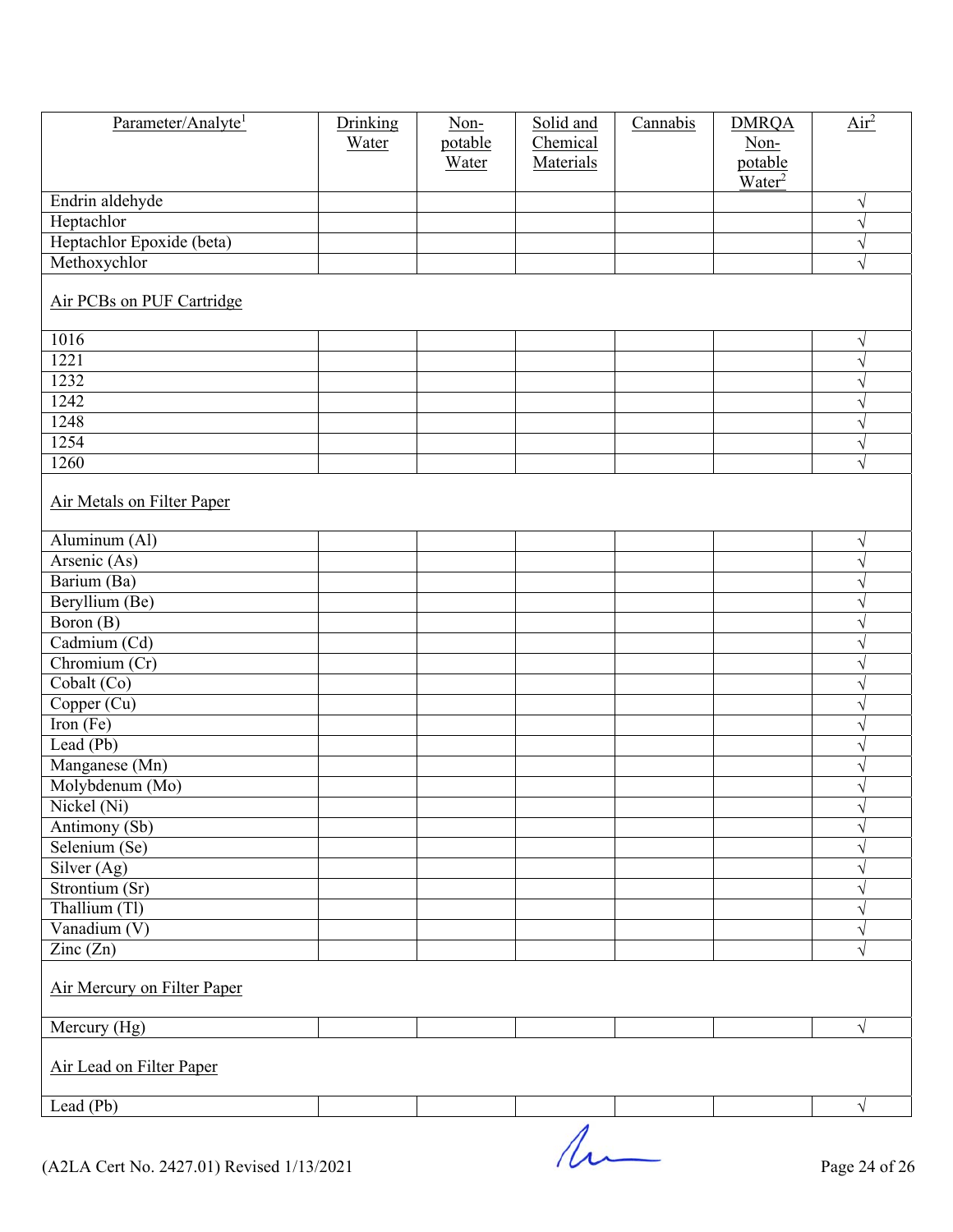| Parameter/Analyte <sup>1</sup>            | Drinking<br>Water | Non-<br>potable<br>Water | Solid and<br>Chemical<br>Materials | Cannabis | <b>DMRQA</b><br>Non-<br>potable<br>$\text{Water}^2$ | $\overline{Air}^2$ |
|-------------------------------------------|-------------------|--------------------------|------------------------------------|----------|-----------------------------------------------------|--------------------|
| Endrin aldehyde                           |                   |                          |                                    |          |                                                     | $\sqrt{}$          |
| Heptachlor                                |                   |                          |                                    |          |                                                     | $\sqrt{}$          |
| Heptachlor Epoxide (beta)                 |                   |                          |                                    |          |                                                     | $\sqrt{}$          |
| Methoxychlor                              |                   |                          |                                    |          |                                                     | $\sqrt{}$          |
| Air PCBs on PUF Cartridge                 |                   |                          |                                    |          |                                                     |                    |
| 1016                                      |                   |                          |                                    |          |                                                     | $\sqrt{}$          |
| 1221                                      |                   |                          |                                    |          |                                                     |                    |
| 1232                                      |                   |                          |                                    |          |                                                     | V                  |
| 1242                                      |                   |                          |                                    |          |                                                     | V                  |
| 1248                                      |                   |                          |                                    |          |                                                     | N                  |
| 1254                                      |                   |                          |                                    |          |                                                     | V                  |
| 1260                                      |                   |                          |                                    |          |                                                     | $\sqrt{}$          |
| Air Metals on Filter Paper                |                   |                          |                                    |          |                                                     |                    |
| Aluminum (Al)                             |                   |                          |                                    |          |                                                     | V                  |
| Arsenic (As)                              |                   |                          |                                    |          |                                                     | V                  |
| Barium (Ba)                               |                   |                          |                                    |          |                                                     | $\sqrt{}$          |
| Beryllium (Be)                            |                   |                          |                                    |          |                                                     | V                  |
| $\overline{Boron (B)}$                    |                   |                          |                                    |          |                                                     |                    |
| Cadmium (Cd)                              |                   |                          |                                    |          |                                                     | V                  |
| Chromium (Cr)                             |                   |                          |                                    |          |                                                     | N                  |
| Cobalt (Co)                               |                   |                          |                                    |          |                                                     | V                  |
| Copper (Cu)                               |                   |                          |                                    |          |                                                     |                    |
| Iron $(Fe)$                               |                   |                          |                                    |          |                                                     |                    |
| Lead $(Pb)$                               |                   |                          |                                    |          |                                                     | V                  |
| Manganese (Mn)                            |                   |                          |                                    |          |                                                     | $\sqrt{ }$         |
| Molybdenum (Mo)                           |                   |                          |                                    |          |                                                     | V                  |
| Nickel (Ni)                               |                   |                          |                                    |          |                                                     |                    |
| Antimony (Sb)                             |                   |                          |                                    |          |                                                     |                    |
| Selenium $(Se)$                           |                   |                          |                                    |          |                                                     |                    |
| Silver (Ag)                               |                   |                          |                                    |          |                                                     |                    |
| Strontium (Sr)                            |                   |                          |                                    |          |                                                     |                    |
| Thallium (Tl)<br>Vanadium (V)             |                   |                          |                                    |          |                                                     | V                  |
| $\text{Zinc}(\text{Zn})$                  |                   |                          |                                    |          |                                                     | V<br>$\sqrt{}$     |
|                                           |                   |                          |                                    |          |                                                     |                    |
| Air Mercury on Filter Paper               |                   |                          |                                    |          |                                                     |                    |
| Mercury (Hg)                              |                   |                          |                                    |          |                                                     | $\sqrt{}$          |
| Air Lead on Filter Paper                  |                   |                          |                                    |          |                                                     |                    |
| Lead (Pb)                                 |                   |                          |                                    |          |                                                     | $\sqrt{}$          |
|                                           |                   |                          |                                    |          |                                                     |                    |
| (A2LA Cert No. 2427.01) Revised 1/13/2021 |                   |                          |                                    |          |                                                     | Page 24 of 26      |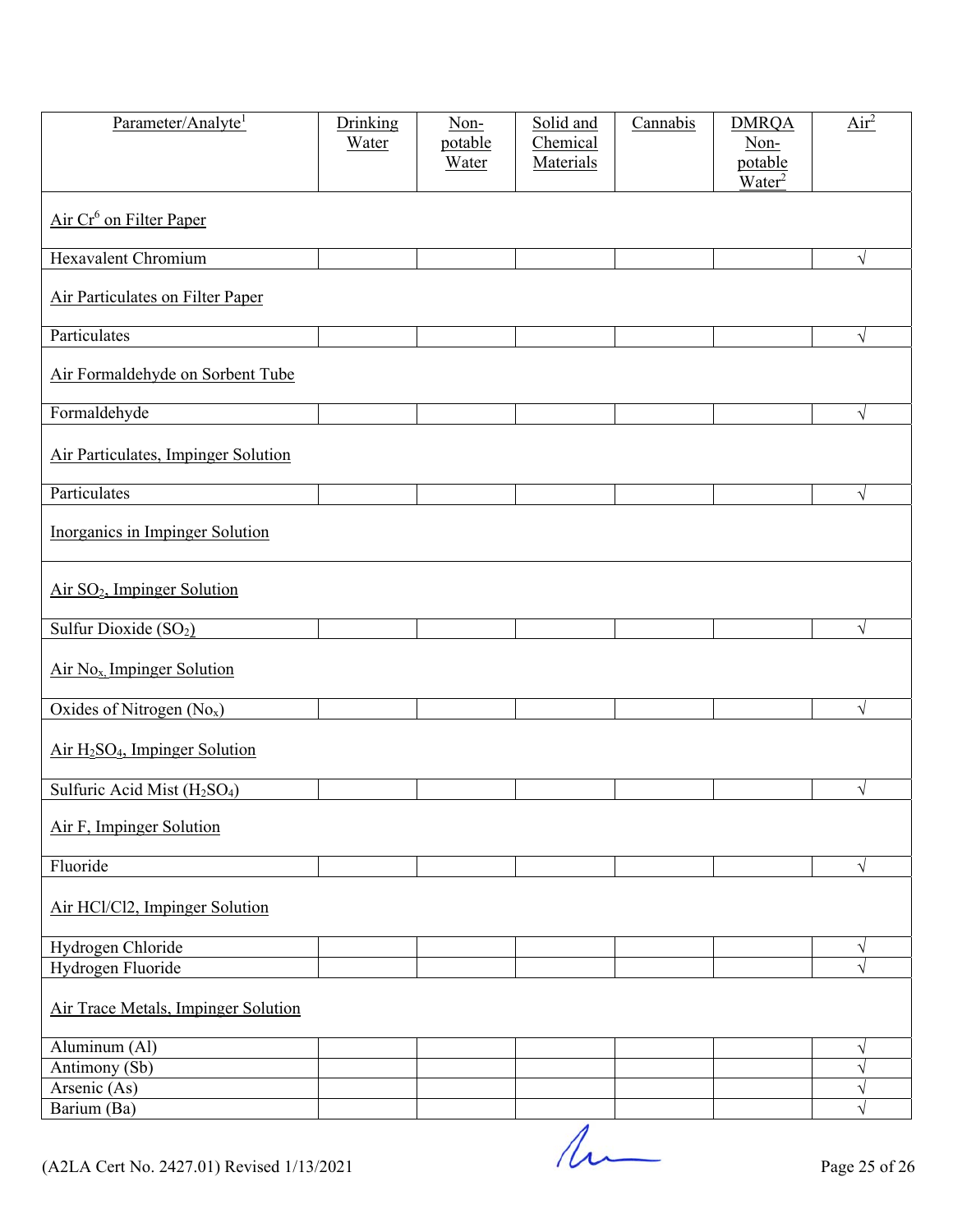| Parameter/Analyte <sup>1</sup><br>Drinking<br>Water                                       | Solid and<br>Non-<br>potable<br>Chemical<br>Materials<br>Water | Cannabis<br><b>DMRQA</b><br>Non-<br>potable<br>Water <sup>2</sup> | Air <sup>2</sup> |
|-------------------------------------------------------------------------------------------|----------------------------------------------------------------|-------------------------------------------------------------------|------------------|
| Air Cr <sup>6</sup> on Filter Paper                                                       |                                                                |                                                                   |                  |
| <b>Hexavalent Chromium</b>                                                                |                                                                |                                                                   | $\sqrt{}$        |
| Air Particulates on Filter Paper                                                          |                                                                |                                                                   |                  |
| Particulates                                                                              |                                                                |                                                                   | $\sqrt{}$        |
| Air Formaldehyde on Sorbent Tube                                                          |                                                                |                                                                   |                  |
| Formaldehyde                                                                              |                                                                |                                                                   | $\sqrt{ }$       |
| Air Particulates, Impinger Solution                                                       |                                                                |                                                                   |                  |
| Particulates                                                                              |                                                                |                                                                   | $\sqrt{}$        |
| Inorganics in Impinger Solution                                                           |                                                                |                                                                   |                  |
| Air SO <sub>2</sub> , Impinger Solution                                                   |                                                                |                                                                   |                  |
| Sulfur Dioxide (SO <sub>2</sub> )                                                         |                                                                |                                                                   | V                |
| Air No <sub>x</sub> , Impinger Solution                                                   |                                                                |                                                                   |                  |
| Oxides of Nitrogen (No <sub>x</sub> )                                                     |                                                                |                                                                   | $\sqrt{ }$       |
| $Air H2SO4$ , Impinger Solution                                                           |                                                                |                                                                   |                  |
| Sulfuric Acid Mist (H <sub>2</sub> SO <sub>4</sub> )                                      |                                                                |                                                                   | V                |
| Air F, Impinger Solution                                                                  |                                                                |                                                                   |                  |
|                                                                                           |                                                                |                                                                   | V                |
| Air HCl/Cl2, Impinger Solution                                                            |                                                                |                                                                   |                  |
| Hydrogen Chloride                                                                         |                                                                |                                                                   | $\sqrt{}$        |
| Hydrogen Fluoride                                                                         |                                                                |                                                                   |                  |
| Air Trace Metals, Impinger Solution                                                       |                                                                |                                                                   |                  |
| Aluminum (Al)                                                                             |                                                                |                                                                   | V                |
|                                                                                           |                                                                |                                                                   |                  |
|                                                                                           |                                                                |                                                                   |                  |
| Antimony (Sb)<br>Arsenic (As)<br>Barium (Ba)<br>(A2LA Cert No. 2427.01) Revised 1/13/2021 |                                                                |                                                                   |                  |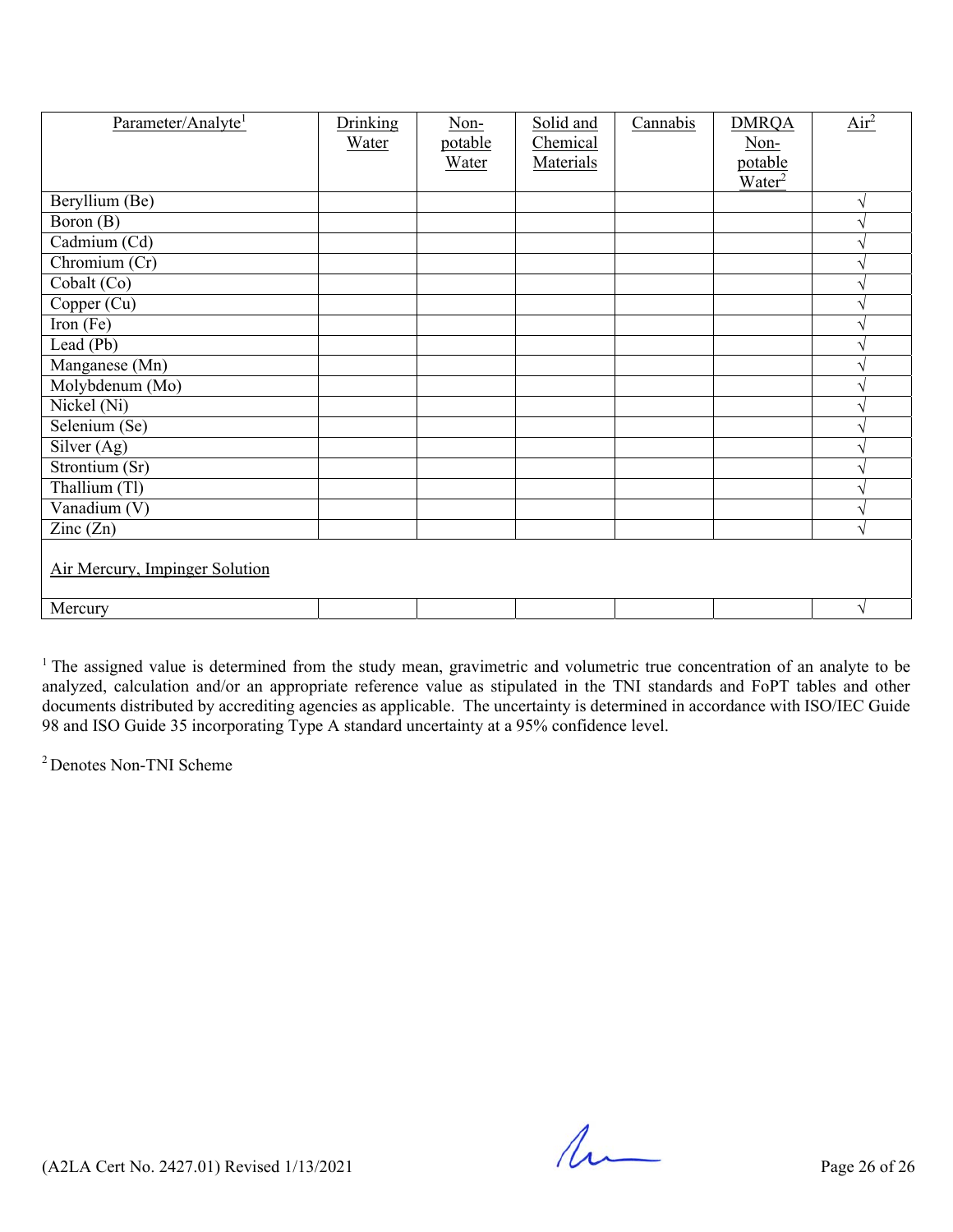| Parameter/Analyte <sup>1</sup> | Drinking<br>Water | Non-<br>potable | Solid and<br>Chemical | Cannabis | <b>DMRQA</b><br>Non-          | Air <sup>2</sup> |  |  |
|--------------------------------|-------------------|-----------------|-----------------------|----------|-------------------------------|------------------|--|--|
|                                |                   | Water           | Materials             |          | potable<br>Water <sup>2</sup> |                  |  |  |
| Beryllium (Be)                 |                   |                 |                       |          |                               | V                |  |  |
| Boron (B)                      |                   |                 |                       |          |                               |                  |  |  |
| Cadmium (Cd)                   |                   |                 |                       |          |                               |                  |  |  |
| Chromium $(Cr)$                |                   |                 |                       |          |                               |                  |  |  |
| Cobalt (Co)                    |                   |                 |                       |          |                               |                  |  |  |
| Copper (Cu)                    |                   |                 |                       |          |                               |                  |  |  |
| Iron $(Fe)$                    |                   |                 |                       |          |                               |                  |  |  |
| Lead (Pb)                      |                   |                 |                       |          |                               |                  |  |  |
| Manganese (Mn)                 |                   |                 |                       |          |                               |                  |  |  |
| Molybdenum (Mo)                |                   |                 |                       |          |                               |                  |  |  |
| Nickel (Ni)                    |                   |                 |                       |          |                               |                  |  |  |
| Selenium (Se)                  |                   |                 |                       |          |                               |                  |  |  |
| Silver (Ag)                    |                   |                 |                       |          |                               |                  |  |  |
| Strontium (Sr)                 |                   |                 |                       |          |                               |                  |  |  |
| Thallium (Tl)                  |                   |                 |                       |          |                               |                  |  |  |
| Vanadium $(V)$                 |                   |                 |                       |          |                               |                  |  |  |
| $\text{Zinc}(\text{Zn})$       |                   |                 |                       |          |                               | ٦                |  |  |
| Air Mercury, Impinger Solution |                   |                 |                       |          |                               |                  |  |  |
| Mercury                        |                   |                 |                       |          |                               | $\sqrt{ }$       |  |  |

 $1$  The assigned value is determined from the study mean, gravimetric and volumetric true concentration of an analyte to be analyzed, calculation and/or an appropriate reference value as stipulated in the TNI standards and FoPT tables and other documents distributed by accrediting agencies as applicable. The uncertainty is determined in accordance with ISO/IEC Guide 98 and ISO Guide 35 incorporating Type A standard uncertainty at a 95% confidence level.

2 Denotes Non-TNI Scheme

 $($ A2LA Cert No. 2427.01) Revised  $1/13/2021$  Page 26 of 26